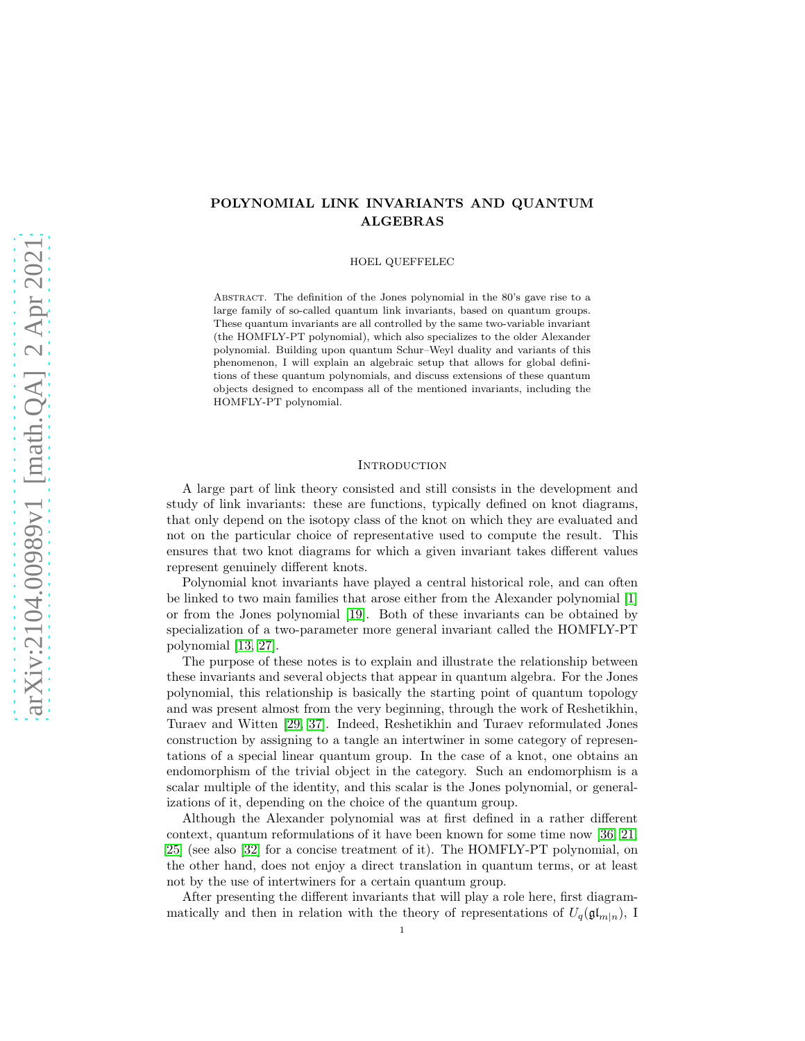# POLYNOMIAL LINK INVARIANTS AND QUANTUM ALGEBRAS

HOEL QUEFFELEC

ABSTRACT. The definition of the Jones polynomial in the 80's gave rise to a large family of so-called quantum link invariants, based on quantum groups. These quantum invariants are all controlled by the same two-variable invariant (the HOMFLY-PT polynomial), which also specializes to the older Alexander polynomial. Building upon quantum Schur–Weyl duality and variants of this phenomenon, I will explain an algebraic setup that allows for global definitions of these quantum polynomials, and discuss extensions of these quantum objects designed to encompass all of the mentioned invariants, including the HOMFLY-PT polynomial.

### **INTRODUCTION**

A large part of link theory consisted and still consists in the development and study of link invariants: these are functions, typically defined on knot diagrams, that only depend on the isotopy class of the knot on which they are evaluated and not on the particular choice of representative used to compute the result. This ensures that two knot diagrams for which a given invariant takes different values represent genuinely different knots.

Polynomial knot invariants have played a central historical role, and can often be linked to two main families that arose either from the Alexander polynomial [\[1\]](#page-20-0) or from the Jones polynomial [\[19\]](#page-20-1). Both of these invariants can be obtained by specialization of a two-parameter more general invariant called the HOMFLY-PT polynomial [\[13,](#page-20-2) [27\]](#page-21-0).

The purpose of these notes is to explain and illustrate the relationship between these invariants and several objects that appear in quantum algebra. For the Jones polynomial, this relationship is basically the starting point of quantum topology and was present almost from the very beginning, through the work of Reshetikhin, Turaev and Witten [\[29,](#page-21-1) [37\]](#page-21-2). Indeed, Reshetikhin and Turaev reformulated Jones construction by assigning to a tangle an intertwiner in some category of representations of a special linear quantum group. In the case of a knot, one obtains an endomorphism of the trivial object in the category. Such an endomorphism is a scalar multiple of the identity, and this scalar is the Jones polynomial, or generalizations of it, depending on the choice of the quantum group.

Although the Alexander polynomial was at first defined in a rather different context, quantum reformulations of it have been known for some time now [\[36,](#page-21-3) [21,](#page-20-3) [25\]](#page-21-4) (see also [\[32\]](#page-21-5) for a concise treatment of it). The HOMFLY-PT polynomial, on the other hand, does not enjoy a direct translation in quantum terms, or at least not by the use of intertwiners for a certain quantum group.

After presenting the different invariants that will play a role here, first diagrammatically and then in relation with the theory of representations of  $U_q(\mathfrak{gl}_{m|n})$ , I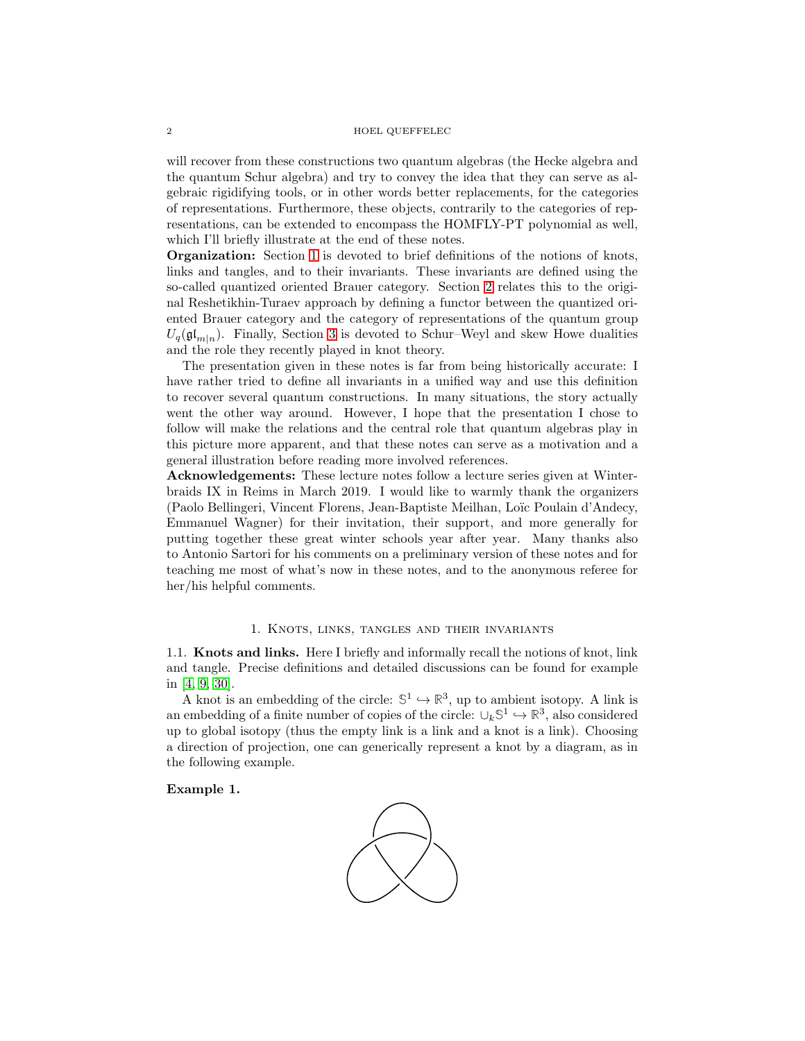## 2 HOEL QUEFFELEC

will recover from these constructions two quantum algebras (the Hecke algebra and the quantum Schur algebra) and try to convey the idea that they can serve as algebraic rigidifying tools, or in other words better replacements, for the categories of representations. Furthermore, these objects, contrarily to the categories of representations, can be extended to encompass the HOMFLY-PT polynomial as well, which I'll briefly illustrate at the end of these notes.

Organization: Section [1](#page-1-0) is devoted to brief definitions of the notions of knots, links and tangles, and to their invariants. These invariants are defined using the so-called quantized oriented Brauer category. Section [2](#page-7-0) relates this to the original Reshetikhin-Turaev approach by defining a functor between the quantized oriented Brauer category and the category of representations of the quantum group  $U_q(\mathfrak{gl}_{m|n})$ . Finally, Section [3](#page-11-0) is devoted to Schur–Weyl and skew Howe dualities and the role they recently played in knot theory.

The presentation given in these notes is far from being historically accurate: I have rather tried to define all invariants in a unified way and use this definition to recover several quantum constructions. In many situations, the story actually went the other way around. However, I hope that the presentation I chose to follow will make the relations and the central role that quantum algebras play in this picture more apparent, and that these notes can serve as a motivation and a general illustration before reading more involved references.

Acknowledgements: These lecture notes follow a lecture series given at Winterbraids IX in Reims in March 2019. I would like to warmly thank the organizers (Paolo Bellingeri, Vincent Florens, Jean-Baptiste Meilhan, Lo¨ıc Poulain d'Andecy, Emmanuel Wagner) for their invitation, their support, and more generally for putting together these great winter schools year after year. Many thanks also to Antonio Sartori for his comments on a preliminary version of these notes and for teaching me most of what's now in these notes, and to the anonymous referee for her/his helpful comments.

## 1. Knots, links, tangles and their invariants

<span id="page-1-0"></span>1.1. Knots and links. Here I briefly and informally recall the notions of knot, link and tangle. Precise definitions and detailed discussions can be found for example in [\[4,](#page-20-4) [9,](#page-20-5) [30\]](#page-21-6).

A knot is an embedding of the circle:  $\mathbb{S}^1 \hookrightarrow \mathbb{R}^3$ , up to ambient isotopy. A link is an embedding of a finite number of copies of the circle:  $\cup_k \mathbb{S}^1 \hookrightarrow \mathbb{R}^3$ , also considered up to global isotopy (thus the empty link is a link and a knot is a link). Choosing a direction of projection, one can generically represent a knot by a diagram, as in the following example.

## Example 1.

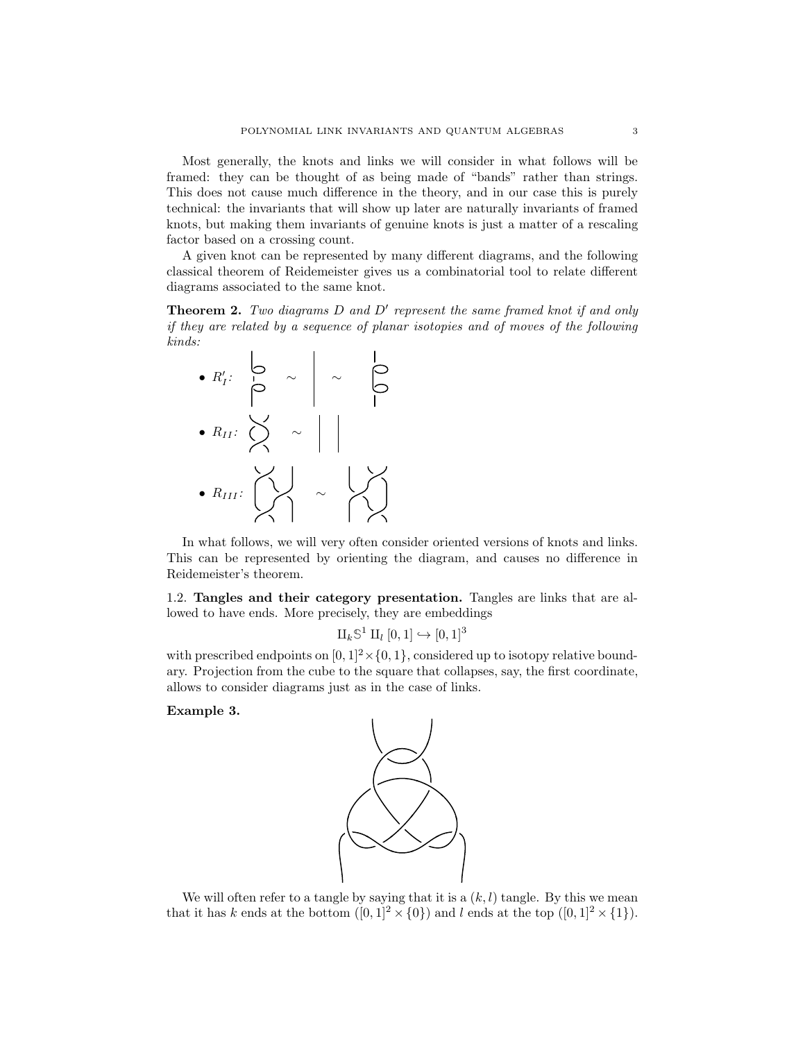Most generally, the knots and links we will consider in what follows will be framed: they can be thought of as being made of "bands" rather than strings. This does not cause much difference in the theory, and in our case this is purely technical: the invariants that will show up later are naturally invariants of framed knots, but making them invariants of genuine knots is just a matter of a rescaling factor based on a crossing count.

A given knot can be represented by many different diagrams, and the following classical theorem of Reidemeister gives us a combinatorial tool to relate different diagrams associated to the same knot.

Theorem 2. *Two diagrams* D *and* D′ *represent the same framed knot if and only if they are related by a sequence of planar isotopies and of moves of the following kinds:*



In what follows, we will very often consider oriented versions of knots and links. This can be represented by orienting the diagram, and causes no difference in Reidemeister's theorem.

1.2. Tangles and their category presentation. Tangles are links that are allowed to have ends. More precisely, they are embeddings

$$
\amalg_k \mathbb{S}^1 \amalg_l [0,1] \hookrightarrow [0,1]^3
$$

with prescribed endpoints on  $[0, 1]^2 \times \{0, 1\}$ , considered up to isotopy relative boundary. Projection from the cube to the square that collapses, say, the first coordinate, allows to consider diagrams just as in the case of links.

Example 3.



We will often refer to a tangle by saying that it is a  $(k, l)$  tangle. By this we mean that it has k ends at the bottom  $([0,1]^2 \times \{0\})$  and l ends at the top  $([0,1]^2 \times \{1\})$ .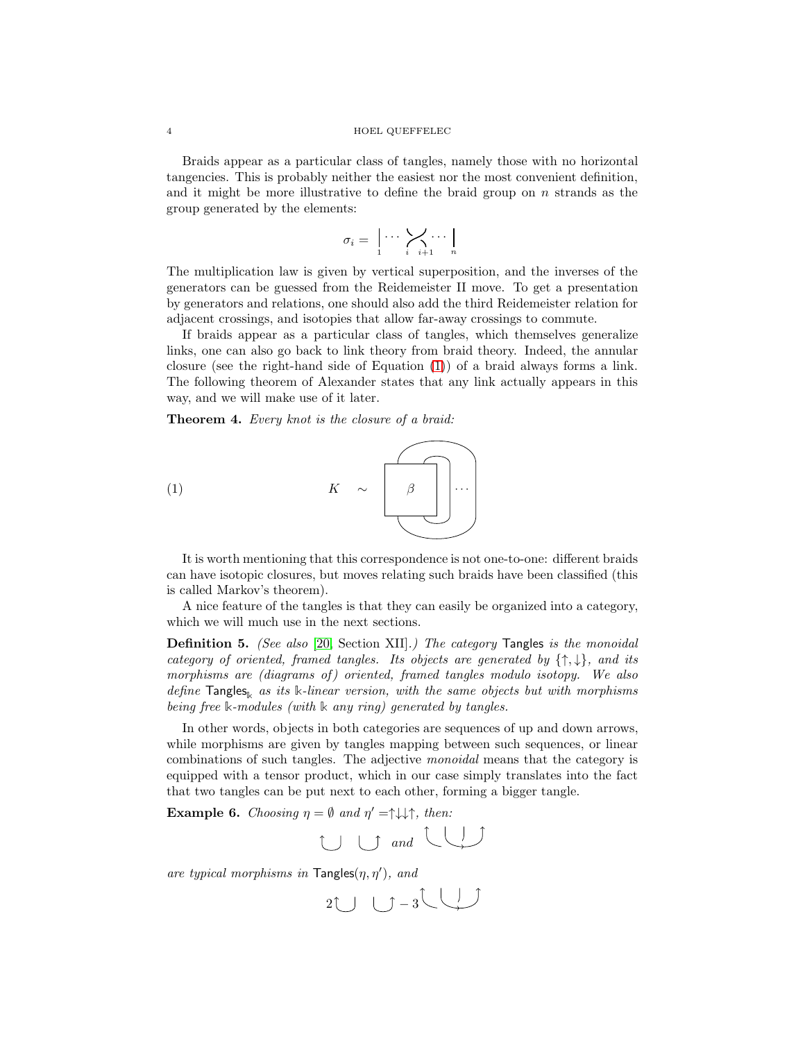### 4 HOEL QUEFFELEC

Braids appear as a particular class of tangles, namely those with no horizontal tangencies. This is probably neither the easiest nor the most convenient definition, and it might be more illustrative to define the braid group on  $n$  strands as the group generated by the elements:

$$
\sigma_i = \left\lfloor \cdots \left\lfloor \bigvee_{i} \cdots \bigvee_{i+1} \cdots \bigwedge_{n} \right\rfloor \right\rfloor
$$

The multiplication law is given by vertical superposition, and the inverses of the generators can be guessed from the Reidemeister II move. To get a presentation by generators and relations, one should also add the third Reidemeister relation for adjacent crossings, and isotopies that allow far-away crossings to commute.

If braids appear as a particular class of tangles, which themselves generalize links, one can also go back to link theory from braid theory. Indeed, the annular closure (see the right-hand side of Equation [\(1\)](#page-3-0)) of a braid always forms a link. The following theorem of Alexander states that any link actually appears in this way, and we will make use of it later.

Theorem 4. *Every knot is the closure of a braid:*

<span id="page-3-0"></span>
$$
(1) \qquad K \sim \boxed{\beta}
$$

It is worth mentioning that this correspondence is not one-to-one: different braids can have isotopic closures, but moves relating such braids have been classified (this is called Markov's theorem).

A nice feature of the tangles is that they can easily be organized into a category, which we will much use in the next sections.

Definition 5. *(See also* [\[20,](#page-20-6) Section XII]*.) The category* Tangles *is the monoidal category of oriented, framed tangles. Its objects are generated by* {↑, ↓}*, and its morphisms are (diagrams of ) oriented, framed tangles modulo isotopy. We also define* Tangles**<sup>k</sup>** *as its* **k***-linear version, with the same objects but with morphisms being free* **k***-modules (with* **k** *any ring) generated by tangles.*

In other words, objects in both categories are sequences of up and down arrows, while morphisms are given by tangles mapping between such sequences, or linear combinations of such tangles. The adjective *monoidal* means that the category is equipped with a tensor product, which in our case simply translates into the fact that two tangles can be put next to each other, forming a bigger tangle.

**Example 6.** *Choosing*  $\eta = \emptyset$  *and*  $\eta' = \uparrow \downarrow \downarrow \uparrow$ *, then:* 

$$
\bigcup \bigcup \quad \text{and} \quad \bigcup
$$

*are typical morphisms in* Tangles(η, η′ )*, and*

 $2\cup$   $\cup$  -3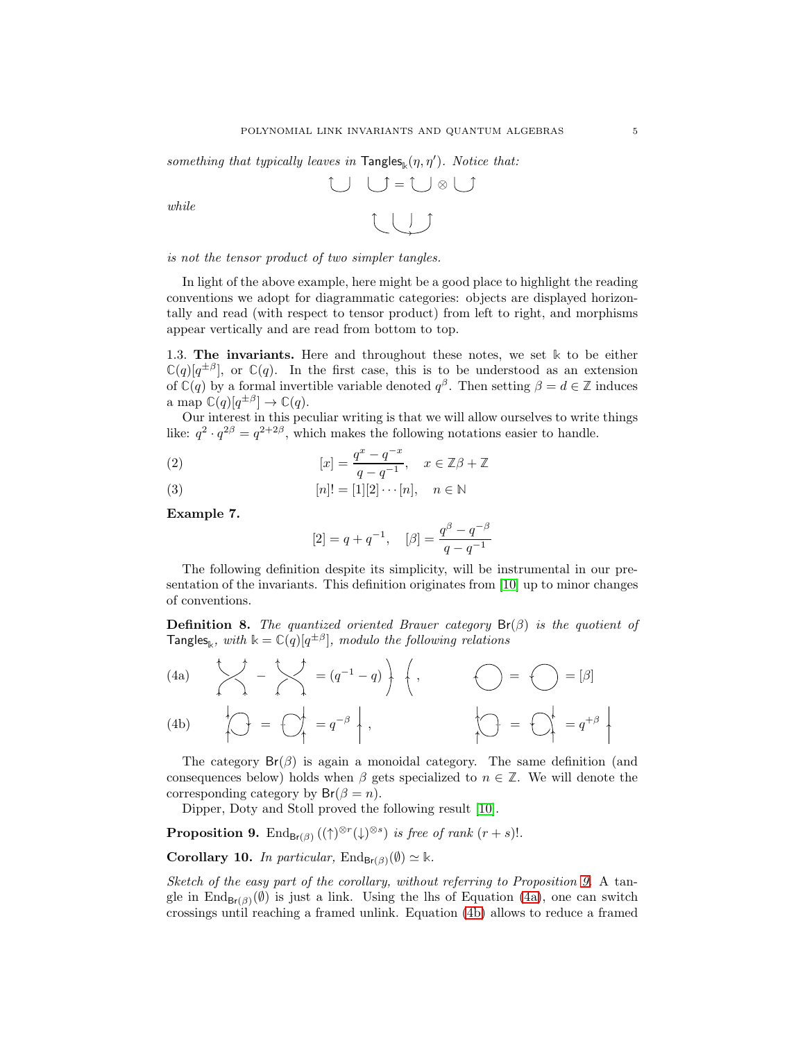something that typically leaves in  $\mathsf{Tangles}_{\mathbb{k}}(\eta, \eta')$ . Notice that:

$$
\bigcup_{i=1}^{n} \bigcup_{i=1}^{n} \bigcup_{j=1}^{n} \bigcup_{i=1}^{n} \bigcup_{j=1}^{n} \bigcup_{j=1}^{n} \bigcup_{j=1}^{n} \bigcup_{j=1}^{n} \bigcup_{j=1}^{n} \bigcup_{j=1}^{n} \bigcup_{j=1}^{n} \bigcup_{j=1}^{n} \bigcup_{j=1}^{n} \bigcup_{j=1}^{n} \bigcup_{j=1}^{n} \bigcup_{j=1}^{n} \bigcup_{j=1}^{n} \bigcup_{j=1}^{n} \bigcup_{j=1}^{n} \bigcup_{j=1}^{n} \bigcup_{j=1}^{n} \bigcup_{j=1}^{n} \bigcup_{j=1}^{n} \bigcup_{j=1}^{n} \bigcup_{j=1}^{n} \bigcup_{j=1}^{n} \bigcup_{j=1}^{n} \bigcup_{j=1}^{n} \bigcup_{j=1}^{n} \bigcup_{j=1}^{n} \bigcup_{j=1}^{n} \bigcup_{j=1}^{n} \bigcup_{j=1}^{n} \bigcup_{j=1}^{n} \bigcup_{j=1}^{n} \bigcup_{j=1}^{n} \bigcup_{j=1}^{n} \bigcup_{j=1}^{n} \bigcup_{j=1}^{n} \bigcup_{j=1}^{n} \bigcup_{j=1}^{n} \bigcup_{j=1}^{n} \bigcup_{j=1}^{n} \bigcup_{j=1}^{n} \bigcup_{j=1}^{n} \bigcup_{j=1}^{n} \bigcup_{j=1}^{n} \bigcup_{j=1}^{n} \bigcup_{j=1}^{n} \bigcup_{j=1}^{n} \bigcup_{j=1}^{n} \bigcup_{j=1}^{n} \bigcup_{j=1}^{n} \bigcup_{j=1}^{n} \bigcup_{j=1}^{n} \bigcup_{j=1}^{n} \bigcup_{j=1}^{n} \bigcup_{j=1}^{n} \bigcup_{j=1}^{n} \bigcup_{j=1}^{n} \bigcup_{j=1}^{n} \bigcup_{j=1}^{n} \bigcup_{j=1}^{n} \bigcup_{j=1}^{n} \bigcup_{j=1}^{n} \bigcup_{j=1}^{n} \bigcup_{j=1}^{n} \bigcup_{j=1}^{n} \bigcup_{j=1}^{n} \
$$

*while*

*is not the tensor product of two simpler tangles.*

In light of the above example, here might be a good place to highlight the reading conventions we adopt for diagrammatic categories: objects are displayed horizontally and read (with respect to tensor product) from left to right, and morphisms appear vertically and are read from bottom to top.

1.3. The invariants. Here and throughout these notes, we set **k** to be either  $\mathbb{C}(q)[q^{\pm\beta}]$ , or  $\mathbb{C}(q)$ . In the first case, this is to be understood as an extension of  $\mathbb{C}(q)$  by a formal invertible variable denoted  $q^{\beta}$ . Then setting  $\beta = d \in \mathbb{Z}$  induces a map  $\mathbb{C}(q)[q^{\pm\beta}] \to \mathbb{C}(q)$ .

Our interest in this peculiar writing is that we will allow ourselves to write things like:  $q^2 \cdot q^{2\beta} = q^{2+2\beta}$ , which makes the following notations easier to handle.

(2) 
$$
[x] = \frac{q^x - q^{-x}}{q - q^{-1}}, \quad x \in \mathbb{Z}\beta + \mathbb{Z}
$$

(3) 
$$
[n]! = [1][2] \cdots [n], \quad n \in \mathbb{N}
$$

Example 7.

$$
[2] = q + q^{-1}, \quad [\beta] = \frac{q^{\beta} - q^{-\beta}}{q - q^{-1}}
$$

The following definition despite its simplicity, will be instrumental in our presentation of the invariants. This definition originates from [\[10\]](#page-20-7) up to minor changes of conventions.

**Definition 8.** *The quantized oriented Brauer category*  $Br(\beta)$  *is the quotient of*  $\textsf{Tangles}_\Bbbk$ , with  $\Bbbk = \mathbb{C}(q)[q^{\pm \beta}]$ , modulo the following relations

<span id="page-4-1"></span>(4a)  
\n
$$
\begin{array}{ccc}\n\searrow & - & \searrow & \\
\searrow & - & \searrow & \\
\searrow & & - & \searrow & \\
\searrow & & & - & \searrow & \\
\searrow & & & & - & \searrow & \\
\searrow & & & & & - & \searrow & \\
\searrow & & & & & & \searrow & \\
\searrow & & & & & & & \searrow & \\
\searrow & & & & & & & \searrow & \\
\searrow & & & & & & & & \searrow & \\
\searrow & & & & & & & & \searrow & \\
\searrow & & & & & & & & & \searrow & \\
\searrow & & & & & & & & & \searrow & \\
\searrow & & & & & & & & & \searrow & \\
\searrow & & & & & & & & & \searrow & \\
\searrow & & & & & & & & & & \searrow & \\
\searrow & & & & & & & & & & \searrow & \\
\searrow & & & & & & & & & & \searrow & \\
\searrow & & & & & & & & & & \searrow & \\
\searrow & & & & & & & & & & \searrow & \\
\searrow & & & & & & & & & & \searrow & \\
\searrow & & & & & & & & & & & \searrow & \\
\searrow & & & & & & & & & & & \searrow & \\
\searrow & & & & & & & & & & & \searrow & \\
\searrow & & & & & & & & & & & \searrow & \\
\searrow & & & & & & & & & & & \searrow & \\
\searrow & & & & & & & & & & & \searrow & \\
\searrow & & & & & & & & & & & \searrow & \\
\searrow & & & & & & & & & & & \searrow & \\
\searrow & & & & & & & & & & & \searrow & \\
\searrow & & & & & & & & & & & \searrow & \\
\searrow & & & & & & & & & & & \searrow & \\
\searrow & & & & & & & & & & & \searrow & \\
\searrow & & & & & & & & & & & \searrow & \\
\searrow & & & & & & & & & & & \searrow & \\
\searrow & & & & & & & & & & & \searrow & \\
\searrow & & & & & & & & & & & \searrow & \\
\searrow & & & & & & & & & & & \searrow & \\
\searrow & & & & & & & & & & & \searrow & \\
\searrow & & & & & & & & & & & \searrow & \\
\searrow & & & & & & & & & & & \searrow & \\
\searrow & & & & & & & & & & & \searrow & \\
\searrow & & & & & & & & & & & \searrow &
$$

<span id="page-4-2"></span>The category  $Br(\beta)$  is again a monoidal category. The same definition (and consequences below) holds when  $\beta$  gets specialized to  $n \in \mathbb{Z}$ . We will denote the corresponding category by  $Br(\beta = n)$ .

Dipper, Doty and Stoll proved the following result [\[10\]](#page-20-7).

<span id="page-4-0"></span>**Proposition 9.** End<sub>Br( $\beta$ ) ( $(\uparrow)^{\otimes r}(\downarrow)^{\otimes s}$ ) *is free of rank*  $(r + s)!$ *.*</sub>

<span id="page-4-3"></span>Corollary 10. *In particular*,  $\text{End}_{\text{Br}(\beta)}(\emptyset) \simeq \mathbb{k}$ *.* 

*Sketch of the easy part of the corollary, without referring to Proposition [9.](#page-4-0)* A tangle in  $\text{End}_{\text{Br}(\beta)}(\emptyset)$  is just a link. Using the lhs of Equation [\(4a\)](#page-4-1), one can switch crossings until reaching a framed unlink. Equation [\(4b\)](#page-4-2) allows to reduce a framed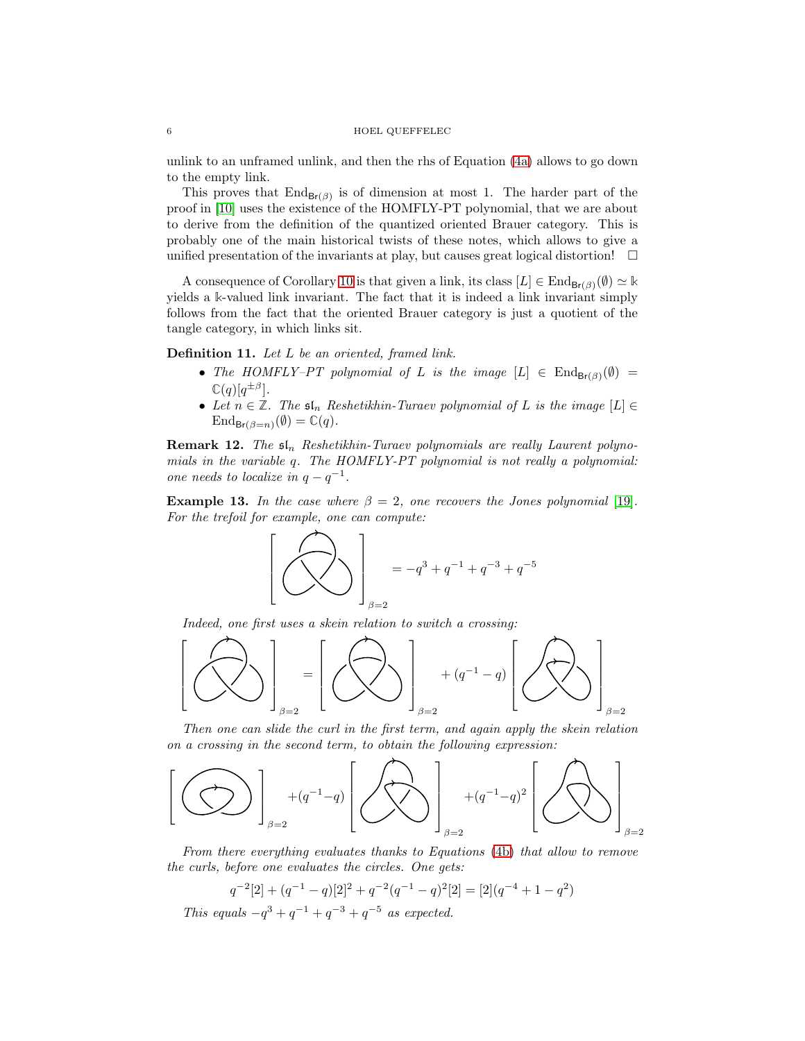unlink to an unframed unlink, and then the rhs of Equation [\(4a\)](#page-4-1) allows to go down to the empty link.

This proves that  $\text{End}_{\text{Br}(\beta)}$  is of dimension at most 1. The harder part of the proof in [\[10\]](#page-20-7) uses the existence of the HOMFLY-PT polynomial, that we are about to derive from the definition of the quantized oriented Brauer category. This is probably one of the main historical twists of these notes, which allows to give a unified presentation of the invariants at play, but causes great logical distortion!  $\Box$ 

A consequence of Corollary [10](#page-4-3) is that given a link, its class  $[L] \in \text{End}_{\text{Br}(\beta)}(\emptyset) \simeq \mathbb{k}$ yields a **k**-valued link invariant. The fact that it is indeed a link invariant simply follows from the fact that the oriented Brauer category is just a quotient of the tangle category, in which links sit.

<span id="page-5-0"></span>Definition 11. *Let* L *be an oriented, framed link.*

- *The HOMFLY–PT polynomial of L is the image*  $[L] \in \text{End}_{\text{Br}(\beta)}(\emptyset)$  =  $\mathbb{C}(q)[q^{\pm\beta}].$
- Let  $n \in \mathbb{Z}$ . The  $\mathfrak{sl}_n$  Reshetikhin-Turaev polynomial of L is the image  $[L] \in$  $\text{End}_{\text{Br}(\beta=n)}(\emptyset) = \mathbb{C}(q).$

**Remark 12.** The  $\mathfrak{sl}_n$  Reshetikhin-Turaev polynomials are really Laurent polyno*mials in the variable* q*. The HOMFLY-PT polynomial is not really a polynomial: one needs to localize in*  $q - q^{-1}$ *.* 

**Example 13.** In the case where  $\beta = 2$ , one recovers the Jones polynomial [\[19\]](#page-20-1). *For the trefoil for example, one can compute:*

$$
\left[ \left( \bigotimes \limits_{{\beta}=2} \right)_{\beta=2} = -q^3 + q^{-1} + q^{-3} + q^{-5}
$$

*Indeed, one first uses a skein relation to switch a crossing:*



*Then one can slide the curl in the first term, and again apply the skein relation on a crossing in the second term, to obtain the following expression:*



*From there everything evaluates thanks to Equations* [\(4b\)](#page-4-2) *that allow to remove the curls, before one evaluates the circles. One gets:*

$$
q^{-2}[2] + (q^{-1} - q)[2]^2 + q^{-2}(q^{-1} - q)^2[2] = [2](q^{-4} + 1 - q^2)
$$

*This equals*  $-q^3 + q^{-1} + q^{-3} + q^{-5}$  *as expected.*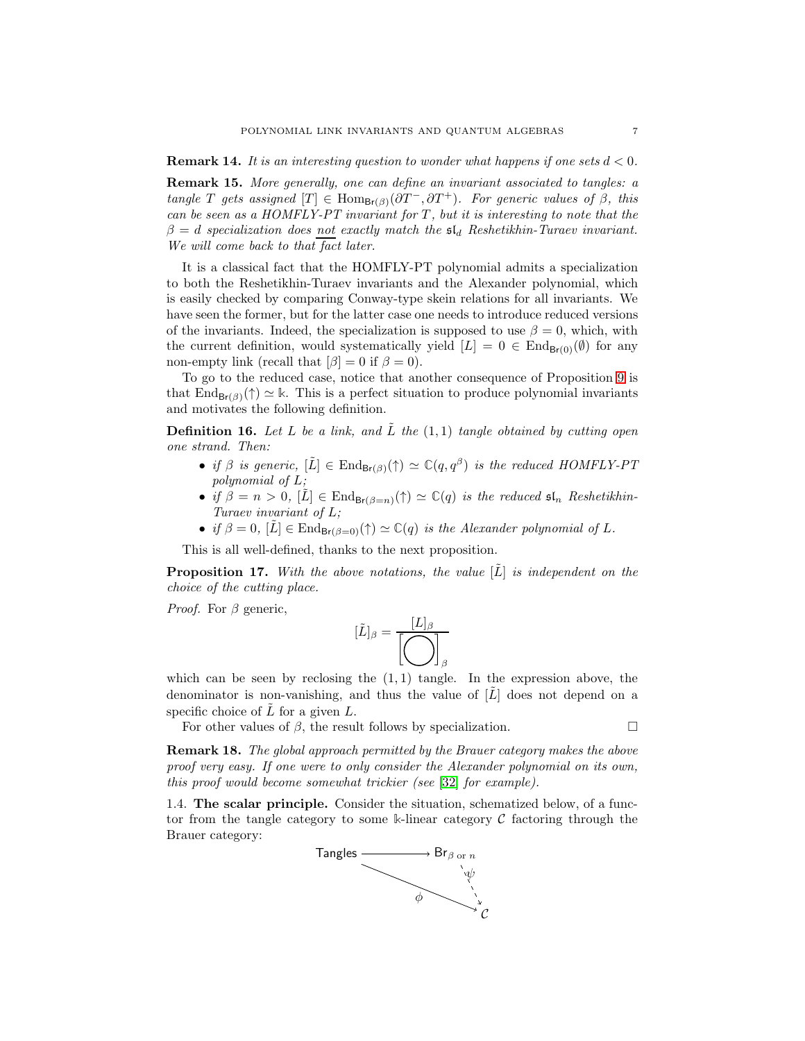<span id="page-6-0"></span>Remark 15. *More generally, one can define an invariant associated to tangles: a tangle* T gets assigned  $[T] \in \text{Hom}_{\text{Br}(\beta)}(\partial T^-, \partial T^+)$ *. For generic values of*  $\beta$ *, this can be seen as a HOMFLY-PT invariant for* T *, but it is interesting to note that the*  $\beta = d$  specialization does not exactly match the  $\mathfrak{sl}_d$  Reshetikhin-Turaev invariant. *We will come back to that fact later.*

It is a classical fact that the HOMFLY-PT polynomial admits a specialization to both the Reshetikhin-Turaev invariants and the Alexander polynomial, which is easily checked by comparing Conway-type skein relations for all invariants. We have seen the former, but for the latter case one needs to introduce reduced versions of the invariants. Indeed, the specialization is supposed to use  $\beta = 0$ , which, with the current definition, would systematically yield  $[L] = 0 \in \text{End}_{\text{Br}(0)}(\emptyset)$  for any non-empty link (recall that  $[\beta] = 0$  if  $\beta = 0$ ).

To go to the reduced case, notice that another consequence of Proposition [9](#page-4-0) is that End<sub>Br(β)</sub>(†)  $\simeq$  k. This is a perfect situation to produce polynomial invariants and motivates the following definition.

Definition 16. *Let* L *be a link, and* L˜ *the* (1, 1) *tangle obtained by cutting open one strand. Then:*

- *if*  $\beta$  *is generic,*  $[\tilde{L}] \in \text{End}_{\text{Br}(\beta)}(\uparrow) \simeq \mathbb{C}(q, q^{\beta})$  *is the reduced HOMFLY-PT polynomial of* L*;*
- *if*  $\beta = n > 0$ ,  $[\tilde{L}] \in \text{End}_{\text{Br}(\beta=n)}(\uparrow) \simeq \mathbb{C}(q)$  *is the reduced*  $\mathfrak{sl}_n$  *Reshetikhin-Turaev invariant of* L*;*
- *if*  $\beta = 0$ ,  $[\tilde{L}] \in \text{End}_{\text{Br}(\beta=0)}(\uparrow) \simeq \mathbb{C}(q)$  *is the Alexander polynomial of* L.

This is all well-defined, thanks to the next proposition.

**Proposition 17.** With the above notations, the value  $[L]$  is independent on the *choice of the cutting place.*

*Proof.* For  $\beta$  generic,

$$
[\tilde{L}]_{\beta} = \frac{[L]_{\beta}}{\left[\bigodot\right]_{\beta}}
$$

which can be seen by reclosing the  $(1, 1)$  tangle. In the expression above, the denominator is non-vanishing, and thus the value of  $[\hat{L}]$  does not depend on a specific choice of  $L$  for a given  $L$ .

For other values of  $\beta$ , the result follows by specialization.

Remark 18. *The global approach permitted by the Brauer category makes the above proof very easy. If one were to only consider the Alexander polynomial on its own, this proof would become somewhat trickier (see* [\[32\]](#page-21-5) *for example).*

1.4. The scalar principle. Consider the situation, schematized below, of a functor from the tangle category to some **k**-linear category C factoring through the Brauer category:

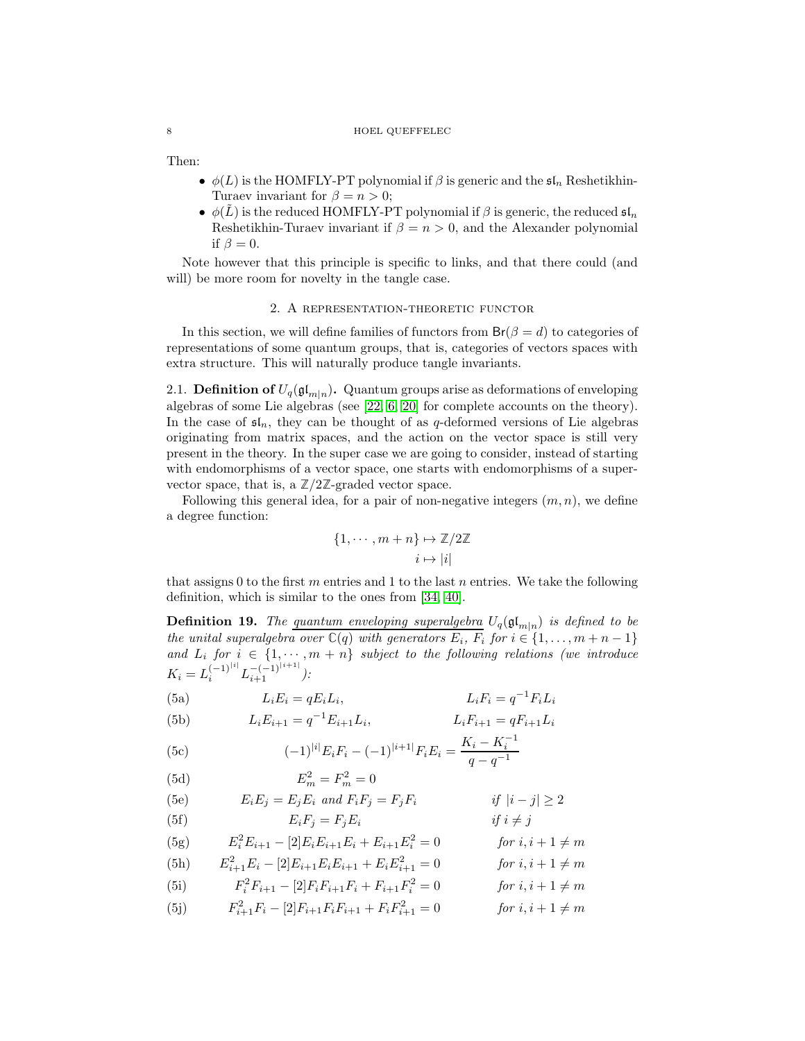#### 8 HOEL QUEFFELEC

Then:

- $\phi(L)$  is the HOMFLY-PT polynomial if  $\beta$  is generic and the  $\mathfrak{sl}_n$  Reshetikhin-Turaev invariant for  $\beta = n > 0$ ;
- $\phi(\tilde{L})$  is the reduced HOMFLY-PT polynomial if  $\beta$  is generic, the reduced  $\mathfrak{sl}_n$ Reshetikhin-Turaev invariant if  $\beta = n > 0$ , and the Alexander polynomial if  $\beta = 0$ .

<span id="page-7-0"></span>Note however that this principle is specific to links, and that there could (and will) be more room for novelty in the tangle case.

## 2. A representation-theoretic functor

In this section, we will define families of functors from  $Br(\beta = d)$  to categories of representations of some quantum groups, that is, categories of vectors spaces with extra structure. This will naturally produce tangle invariants.

2.1. **Definition of**  $U_q(\mathfrak{gl}_{m|n})$ . Quantum groups arise as deformations of enveloping algebras of some Lie algebras (see [\[22,](#page-20-8) [6,](#page-20-9) [20\]](#page-20-6) for complete accounts on the theory). In the case of  $\mathfrak{sl}_n$ , they can be thought of as q-deformed versions of Lie algebras originating from matrix spaces, and the action on the vector space is still very present in the theory. In the super case we are going to consider, instead of starting with endomorphisms of a vector space, one starts with endomorphisms of a supervector space, that is, a  $\mathbb{Z}/2\mathbb{Z}$ -graded vector space.

Following this general idea, for a pair of non-negative integers  $(m, n)$ , we define a degree function:

$$
\{1, \cdots, m+n\} \mapsto \mathbb{Z}/2\mathbb{Z}
$$

$$
i \mapsto |i|
$$

that assigns 0 to the first m entries and 1 to the last n entries. We take the following definition, which is similar to the ones from [\[34,](#page-21-7) [40\]](#page-21-8).

**Definition 19.** The quantum enveloping superalgebra  $U_q(\mathfrak{gl}_{m|n})$  is defined to be *the unital superalgebra over*  $\mathbb{C}(q)$  *with generators*  $E_i$ *,*  $F_i$  *for*  $i \in \{1, ..., m + n - 1\}$ *and*  $L_i$  *for*  $i \in \{1, \dots, m+n\}$  *subject to the following relations (we introduce*  $K_i = L_i^{(-1)^{|i|}} L_{i+1}^{-(-1)^{|i+1|}}$ .

(5a) 
$$
L_i E_i = q E_i L_i, \qquad L_i F_i = q^{-1} F_i L_i
$$

(5b) 
$$
L_i E_{i+1} = q^{-1} E_{i+1} L_i, \qquad L_i F_{i+1} = q F_{i+1} L_i
$$

<span id="page-7-1"></span>(5c) 
$$
(-1)^{|i|} E_i F_i - (-1)^{|i+1|} F_i E_i = \frac{K_i - K_i^{-1}}{q - q^{-1}}
$$

$$
E_m^2 = F_m^2 = 0
$$

(5e) 
$$
E_i E_j = E_j E_i \text{ and } F_i F_j = F_j F_i \qquad \text{if } |i - j| \ge 2
$$
  
(5f) 
$$
E_i F_j = F_j E_i \qquad \text{if } i \ne j
$$

(5g) 
$$
E_i^2 E_{i+1} - [2] E_i E_{i+1} E_i + E_{i+1} E_i^2 = 0 \qquad \text{for } i, i+1 \neq m
$$

(5h) 
$$
E_{i+1}^2 E_i - [2] E_{i+1} E_i E_{i+1} + E_i E_{i+1}^2 = 0 \qquad \text{for } i, i+1 \neq m
$$

(5i) 
$$
F_i^2 F_{i+1} - [2] F_i F_{i+1} F_i + F_{i+1} F_i^2 = 0 \t\t \text{for } i, i+1 \neq m
$$

(5j) 
$$
F_{i+1}^2 F_i - [2] F_{i+1} F_i F_{i+1} + F_i F_{i+1}^2 = 0 \t\t for i, i+1 \neq m
$$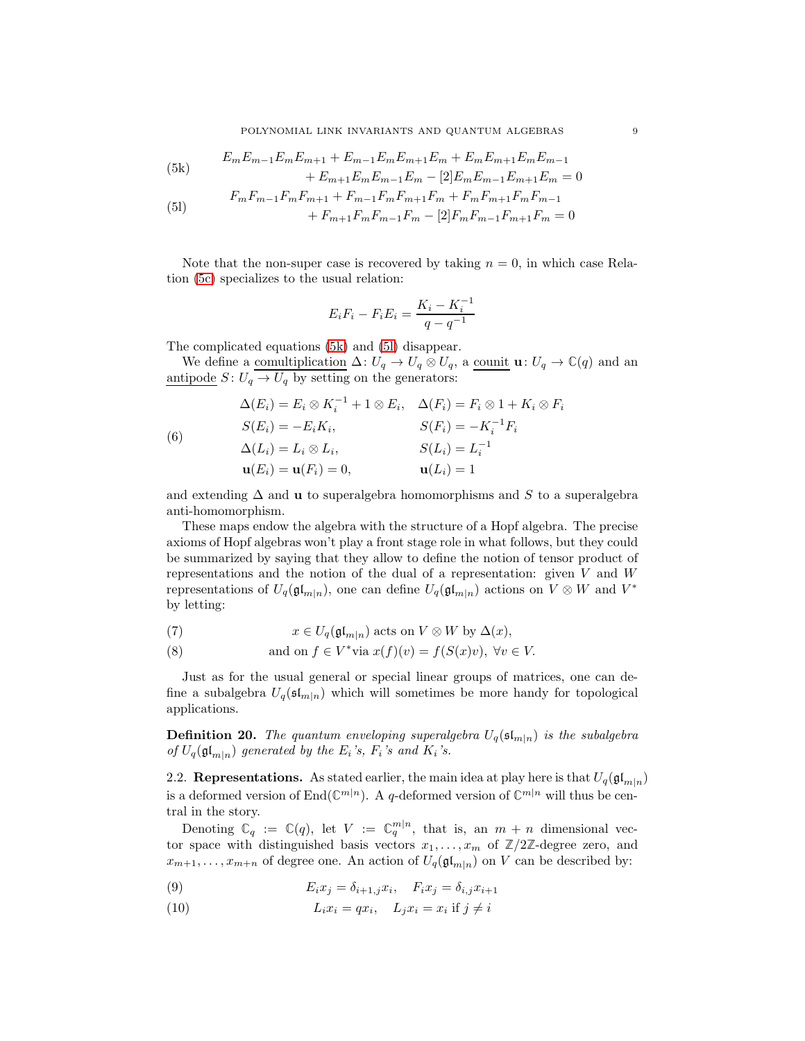<span id="page-8-0"></span>(5k) 
$$
E_m E_{m-1} E_m E_{m+1} + E_{m-1} E_m E_{m+1} E_m + E_m E_{m+1} E_m E_{m-1} + E_{m+1} E_m E_{m-1} E_m - [2] E_m E_{m-1} E_{m+1} E_m = 0
$$

<span id="page-8-1"></span>(51) 
$$
F_m F_{m-1} F_m F_{m+1} + F_{m-1} F_m F_{m+1} F_m + F_m F_{m+1} F_m F_{m-1} + F_{m+1} F_m F_{m-1} F_m - [2] F_m F_{m-1} F_{m+1} F_m = 0
$$

Note that the non-super case is recovered by taking  $n = 0$ , in which case Relation [\(5c\)](#page-7-1) specializes to the usual relation:

$$
E_i F_i - F_i E_i = \frac{K_i - K_i^{-1}}{q - q^{-1}}
$$

The complicated equations [\(5k\)](#page-8-0) and [\(5l\)](#page-8-1) disappear.

We define a <u>comultiplication</u>  $\Delta: U_q \to U_q \otimes U_q$ , a counit  $\mathbf{u}: U_q \to \mathbb{C}(q)$  and an antipode  $S: U_q \to U_q$  by setting on the generators:

(6)  
\n
$$
\Delta(E_i) = E_i \otimes K_i^{-1} + 1 \otimes E_i, \quad \Delta(F_i) = F_i \otimes 1 + K_i \otimes F_i
$$
\n
$$
S(E_i) = -E_i K_i, \qquad S(F_i) = -K_i^{-1} F_i
$$
\n
$$
\Delta(L_i) = L_i \otimes L_i, \qquad S(L_i) = L_i^{-1}
$$
\n
$$
\mathbf{u}(E_i) = \mathbf{u}(F_i) = 0, \qquad \mathbf{u}(L_i) = 1
$$

and extending  $\Delta$  and **u** to superalgebra homomorphisms and S to a superalgebra anti-homomorphism.

These maps endow the algebra with the structure of a Hopf algebra. The precise axioms of Hopf algebras won't play a front stage role in what follows, but they could be summarized by saying that they allow to define the notion of tensor product of representations and the notion of the dual of a representation: given V and W representations of  $U_q(\mathfrak{gl}_{m|n})$ , one can define  $U_q(\mathfrak{gl}_{m|n})$  actions on  $V \otimes W$  and  $V^*$ by letting:

(7) 
$$
x \in U_q(\mathfrak{gl}_{m|n}) \text{ acts on } V \otimes W \text{ by } \Delta(x),
$$

(8) and on 
$$
f \in V^*
$$
 via  $x(f)(v) = f(S(x)v)$ ,  $\forall v \in V$ .

Just as for the usual general or special linear groups of matrices, one can define a subalgebra  $U_q(\mathfrak{sl}_{m|n})$  which will sometimes be more handy for topological applications.

<span id="page-8-2"></span>**Definition 20.** *The quantum enveloping superalgebra*  $U_q(\mathfrak{sl}_{m|n})$  *is the subalgebra of*  $U_q(\mathfrak{gl}_{m|n})$  generated by the  $E_i$ 's,  $F_i$ 's and  $K_i$ 's.

2.2. Representations. As stated earlier, the main idea at play here is that  $U_q(\mathfrak{gl}_{m|n})$ is a deformed version of  $\text{End}(\mathbb{C}^{m|n})$ . A q-deformed version of  $\mathbb{C}^{m|n}$  will thus be central in the story.

Denoting  $\mathbb{C}_q := \mathbb{C}(q)$ , let  $V := \mathbb{C}_q^{m|n}$ , that is, an  $m + n$  dimensional vector space with distinguished basis vectors  $x_1, \ldots, x_m$  of  $\mathbb{Z}/2\mathbb{Z}$ -degree zero, and  $x_{m+1}, \ldots, x_{m+n}$  of degree one. An action of  $U_q(\mathfrak{gl}_{m|n})$  on V can be described by:

(9) 
$$
E_i x_j = \delta_{i+1,j} x_i, \quad F_i x_j = \delta_{i,j} x_{i+1}
$$

(10) 
$$
L_i x_i = q x_i, \quad L_j x_i = x_i \text{ if } j \neq i
$$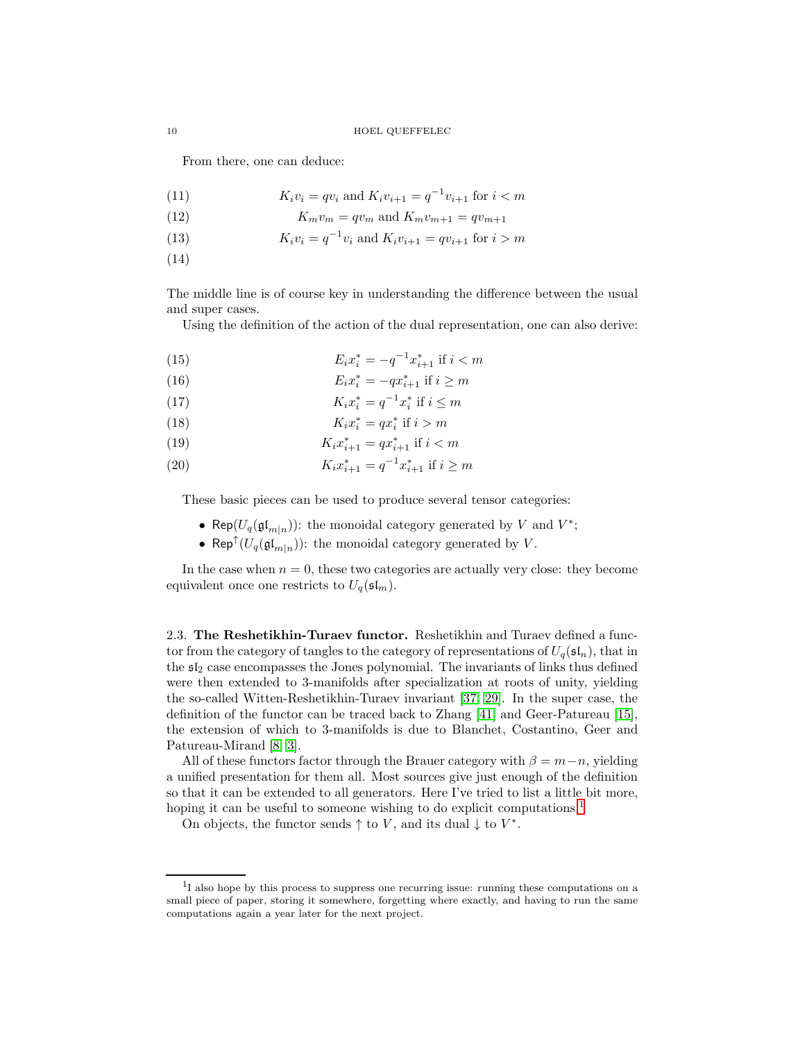From there, one can deduce:

(11) 
$$
K_i v_i = q v_i \text{ and } K_i v_{i+1} = q^{-1} v_{i+1} \text{ for } i < m
$$

$$
(12) \t K_m v_m = q v_m \text{ and } K_m v_{m+1} = q v_{m+1}
$$

- (13)  $K_i v_i = q^{-1} v_i$  and  $K_i v_{i+1} = q v_{i+1}$  for  $i > m$
- (14)

The middle line is of course key in understanding the difference between the usual and super cases.

Using the definition of the action of the dual representation, one can also derive:

(15) 
$$
E_i x_i^* = -q^{-1} x_{i+1}^* \text{ if } i < m
$$

(16) 
$$
E_i x_i^* = -qx_{i+1}^* \text{ if } i \geq m
$$

(17)  $K_i x_i^* = q^{-1} x_i^*$  if  $i \leq m$ 

$$
(18) \t K_i x_i^* = q x_i^* \text{ if } i > m
$$

- (19)  $K_i x_{i+1}^* = q x_{i+1}^*$  if  $i < m$
- (20)  $K_i x_{i+1}^* = q^{-1} x_{i+1}^*$  if  $i \ge m$

These basic pieces can be used to produce several tensor categories:

- Rep( $U_q(\mathfrak{gl}_{m|n})$ ): the monoidal category generated by V and  $V^*$ ;
- Rep<sup>†</sup>( $U_q(\mathfrak{gl}_{m|n})$ ): the monoidal category generated by V.

In the case when  $n = 0$ , these two categories are actually very close: they become equivalent once one restricts to  $U_q(\mathfrak{sl}_m)$ .

2.3. The Reshetikhin-Turaev functor. Reshetikhin and Turaev defined a functor from the category of tangles to the category of representations of  $U_q(\mathfrak{sl}_n)$ , that in the  $s_{2}$  case encompasses the Jones polynomial. The invariants of links thus defined were then extended to 3-manifolds after specialization at roots of unity, yielding the so-called Witten-Reshetikhin-Turaev invariant [\[37,](#page-21-2) [29\]](#page-21-1). In the super case, the definition of the functor can be traced back to Zhang [\[41\]](#page-21-9) and Geer-Patureau [\[15\]](#page-20-10), the extension of which to 3-manifolds is due to Blanchet, Costantino, Geer and Patureau-Mirand [\[8,](#page-20-11) [3\]](#page-20-12).

All of these functors factor through the Brauer category with  $\beta = m-n$ , yielding a unified presentation for them all. Most sources give just enough of the definition so that it can be extended to all generators. Here I've tried to list a little bit more, hoping it can be useful to someone wishing to do explicit computations.<sup>[1](#page-9-0)</sup>

On objects, the functor sends  $\uparrow$  to V, and its dual  $\downarrow$  to  $V^*$ .

<span id="page-9-0"></span><sup>&</sup>lt;sup>1</sup>I also hope by this process to suppress one recurring issue: running these computations on a small piece of paper, storing it somewhere, forgetting where exactly, and having to run the same computations again a year later for the next project.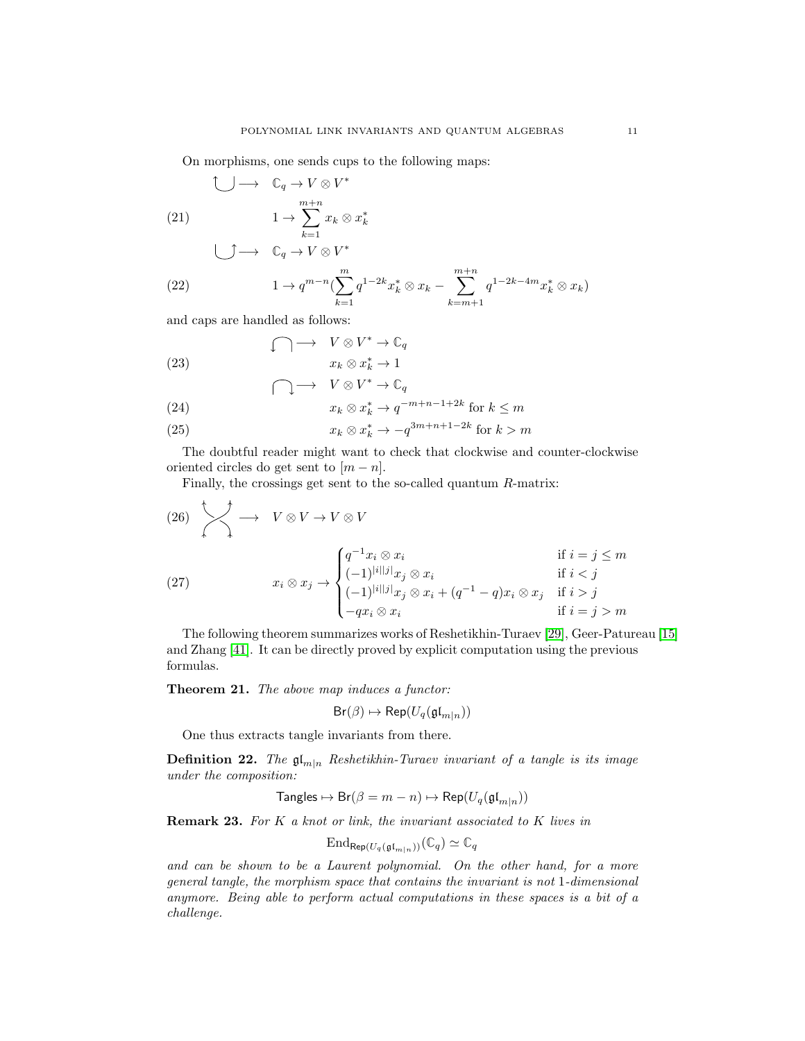On morphisms, one sends cups to the following maps:

$$
\begin{array}{ccc}\n\bigcirc & \longrightarrow & \mathbb{C}_q \to V \otimes V^* \\
\text{(21)} & & 1 \to \sum_{k=1}^{m+n} x_k \otimes x_k^* \\
\bigcirc & \longrightarrow & \mathbb{C}_q \to V \otimes V^*\n\end{array}
$$

(22) 
$$
1 \to q^{m-n} \left( \sum_{k=1}^{m} q^{1-2k} x_k^* \otimes x_k - \sum_{k=m+1}^{m+n} q^{1-2k-4m} x_k^* \otimes x_k \right)
$$

and caps are handled as follows:

(23) 
$$
\bigcap \longrightarrow V \otimes V^* \to \mathbb{C}_q
$$

$$
x_k \otimes x_k^* \to 1
$$

$$
\bigcap \longrightarrow V \otimes V^* \to \mathbb{C}_q
$$

(24) 
$$
x_k \otimes x_k^* \to q^{-m+n-1+2k} \text{ for } k \leq m
$$

(25) 
$$
x_k \otimes x_k^* \to -q^{3m+n+1-2k} \text{ for } k > m
$$

The doubtful reader might want to check that clockwise and counter-clockwise oriented circles do get sent to  $[m - n]$ .

Finally, the crossings get sent to the so-called quantum R-matrix:

(26) −→ V ⊗ V → V ⊗ V x<sup>i</sup> ⊗ x<sup>j</sup> → q <sup>−</sup><sup>1</sup>x<sup>i</sup> ⊗ x<sup>i</sup> if i = j ≤ m (−1)<sup>|</sup>i||j<sup>|</sup>x<sup>j</sup> ⊗ x<sup>i</sup> if i < j (−1)<sup>|</sup>i||j<sup>|</sup>x<sup>j</sup> ⊗ x<sup>i</sup> + (q <sup>−</sup><sup>1</sup> − q)x<sup>i</sup> ⊗ x<sup>j</sup> if i > j −qx<sup>i</sup> ⊗ x<sup>i</sup> if i = j > m (27)

The following theorem summarizes works of Reshetikhin-Turaev [\[29\]](#page-21-1), Geer-Patureau [\[15\]](#page-20-10) and Zhang [\[41\]](#page-21-9). It can be directly proved by explicit computation using the previous formulas.

Theorem 21. *The above map induces a functor:*

$$
\mathsf{Br}(\beta) \mapsto \mathsf{Rep}(U_q(\mathfrak{gl}_{m|n}))
$$

One thus extracts tangle invariants from there.

**Definition 22.** *The*  $\mathfrak{gl}_{m|n}$  *Reshetikhin-Turaev invariant of a tangle is its image under the composition:*

$$
\mathsf{Tangles} \mapsto \mathsf{Br}(\beta = m-n) \mapsto \mathsf{Rep}(U_q(\mathfrak{gl}_{m|n}))
$$

Remark 23. *For* K *a knot or link, the invariant associated to* K *lives in*

$$
\mathrm{End}_{\mathsf{Rep}(U_q(\mathfrak{gl}_{m|n}))}(\mathbb{C}_q)\simeq \mathbb{C}_q
$$

*and can be shown to be a Laurent polynomial. On the other hand, for a more general tangle, the morphism space that contains the invariant is not* 1*-dimensional anymore. Being able to perform actual computations in these spaces is a bit of a challenge.*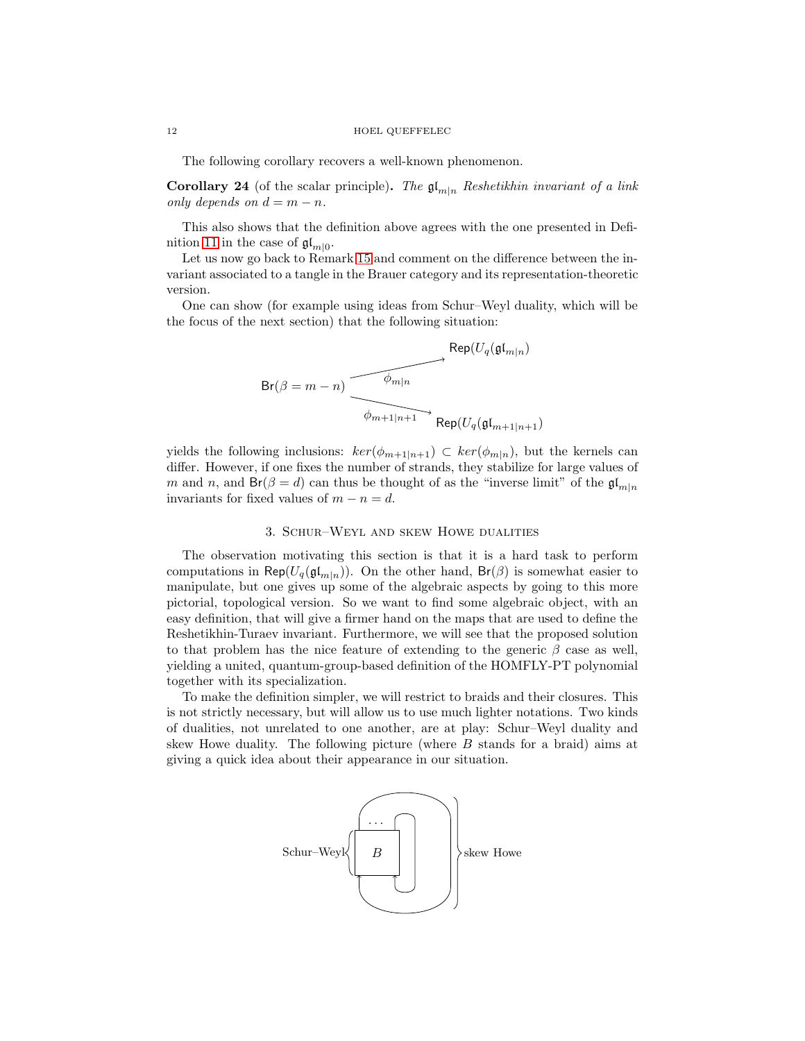The following corollary recovers a well-known phenomenon.

**Corollary 24** (of the scalar principle). *The*  $\mathfrak{gl}_{m|n}$  *Reshetikhin invariant of a link only depends on*  $d = m - n$ .

This also shows that the definition above agrees with the one presented in Defi-nition [11](#page-5-0) in the case of  $\mathfrak{gl}_{m|0}$ .

Let us now go back to Remark [15](#page-6-0) and comment on the difference between the invariant associated to a tangle in the Brauer category and its representation-theoretic version.

One can show (for example using ideas from Schur–Weyl duality, which will be the focus of the next section) that the following situation:

$$
\text{Br}(\beta=m-n) \xrightarrow{\phi_{m|n}} \text{Rep}(U_q(\mathfrak{gl}_{m|n})
$$

yields the following inclusions:  $\ker(\phi_{m+1|n+1}) \subset \ker(\phi_{m|n})$ , but the kernels can differ. However, if one fixes the number of strands, they stabilize for large values of m and n, and  $\text{Br}(\beta = d)$  can thus be thought of as the "inverse limit" of the  $\mathfrak{gl}_{m|n}$ invariants for fixed values of  $m - n = d$ .

## 3. Schur–Weyl and skew Howe dualities

<span id="page-11-0"></span>The observation motivating this section is that it is a hard task to perform computations in Rep( $U_q(\mathfrak{gl}_{m|n})$ ). On the other hand,  $Br(\beta)$  is somewhat easier to manipulate, but one gives up some of the algebraic aspects by going to this more pictorial, topological version. So we want to find some algebraic object, with an easy definition, that will give a firmer hand on the maps that are used to define the Reshetikhin-Turaev invariant. Furthermore, we will see that the proposed solution to that problem has the nice feature of extending to the generic  $\beta$  case as well, yielding a united, quantum-group-based definition of the HOMFLY-PT polynomial together with its specialization.

To make the definition simpler, we will restrict to braids and their closures. This is not strictly necessary, but will allow us to use much lighter notations. Two kinds of dualities, not unrelated to one another, are at play: Schur–Weyl duality and skew Howe duality. The following picture (where B stands for a braid) aims at giving a quick idea about their appearance in our situation.

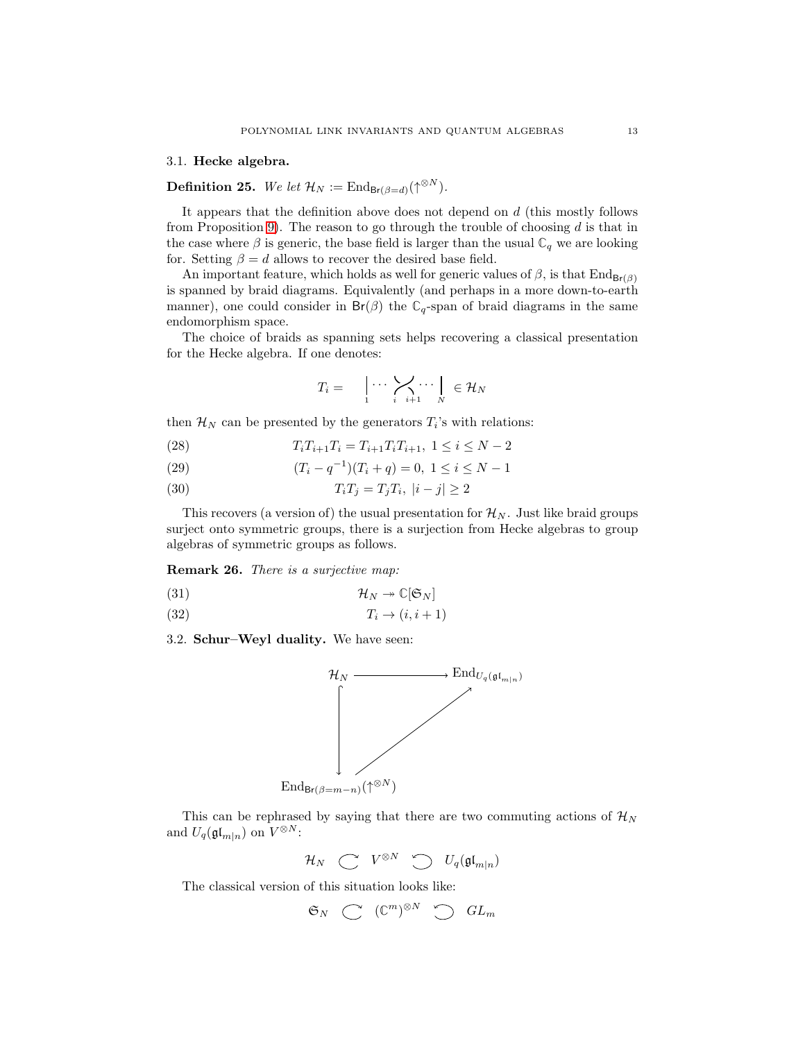## 3.1. Hecke algebra.

**Definition 25.** We let  $\mathcal{H}_N := \text{End}_{\text{Br}(\beta=d)}(\uparrow^{\otimes N})$ .

It appears that the definition above does not depend on d (this mostly follows from Proposition [9\)](#page-4-0). The reason to go through the trouble of choosing  $d$  is that in the case where  $\beta$  is generic, the base field is larger than the usual  $\mathbb{C}_q$  we are looking for. Setting  $\beta = d$  allows to recover the desired base field.

An important feature, which holds as well for generic values of  $\beta$ , is that  $\text{End}_{\text{Br}(\beta)}$ is spanned by braid diagrams. Equivalently (and perhaps in a more down-to-earth manner), one could consider in  $Br(\beta)$  the  $C_q$ -span of braid diagrams in the same endomorphism space.

The choice of braids as spanning sets helps recovering a classical presentation for the Hecke algebra. If one denotes:

$$
T_i = \bigcup_1 \cdots \bigvee_{i} \bigvee_{i+1} \cdots \bigcup_N \in \mathcal{H}_N
$$

then  $\mathcal{H}_N$  can be presented by the generators  $T_i$ 's with relations:

- (28)  $T_i T_{i+1} T_i = T_{i+1} T_i T_{i+1}, \ 1 \leq i \leq N-2$
- (29)  $(T_i q^{-1})(T_i + q) = 0, \ 1 \le i \le N 1$
- (30)  $T_i T_j = T_j T_i, |i j| \ge 2$

This recovers (a version of) the usual presentation for  $\mathcal{H}_N$ . Just like braid groups surject onto symmetric groups, there is a surjection from Hecke algebras to group algebras of symmetric groups as follows.

Remark 26. *There is a surjective map:*

$$
(31) \t\t\t \mathcal{H}_N \twoheadrightarrow \mathbb{C}[\mathfrak{S}_N]
$$

$$
(32) \t\t T_i \to (i, i+1)
$$

3.2. Schur–Weyl duality. We have seen:



This can be rephrased by saying that there are two commuting actions of  $\mathcal{H}_N$ and  $U_q(\mathfrak{gl}_{m|n})$  on  $V^{\otimes N}$ :

 $\mathcal{H}_N \quad \textstyle \bigcirc \quad V^{\otimes N} \quad \textstyle \bigcirc \quad U_q(\mathfrak{gl}_{m|n})$ 

The classical version of this situation looks like:

$$
\mathfrak{S}_N\ \ \, \mathbb{C}\ \ \, (\mathbb{C}^m)^{\otimes N}\ \ \, \mathbb{C}\ \ \, GL_m
$$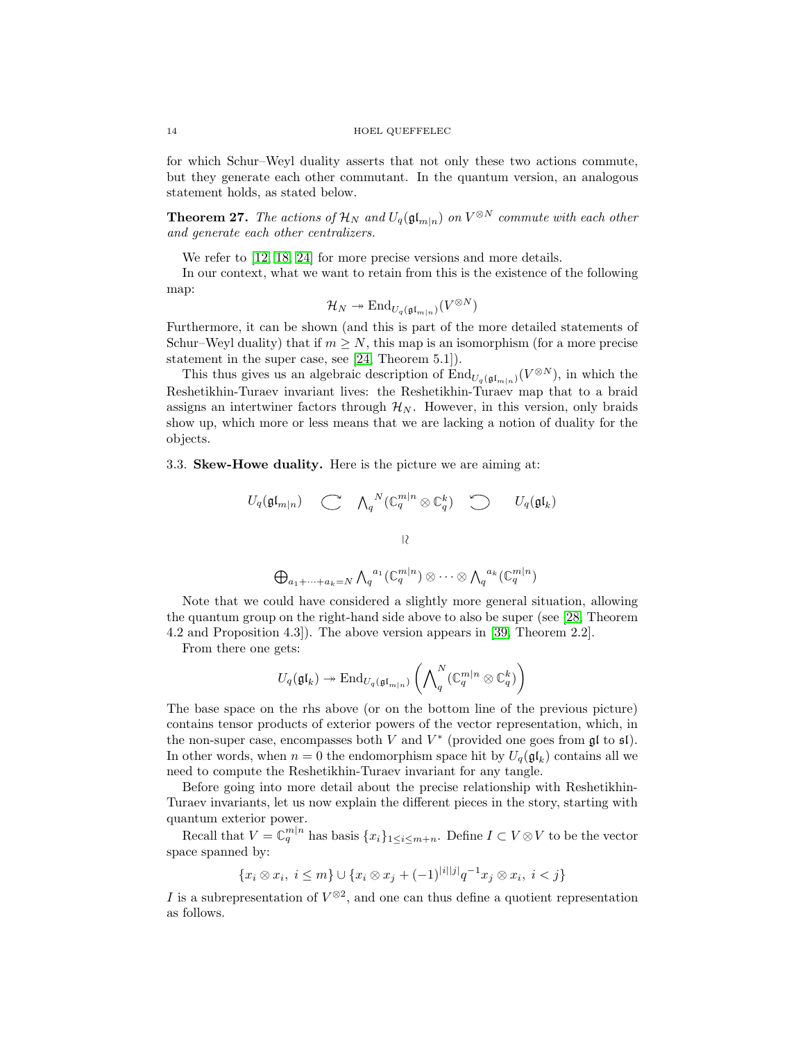for which Schur–Weyl duality asserts that not only these two actions commute, but they generate each other commutant. In the quantum version, an analogous statement holds, as stated below.

**Theorem 27.** *The actions of*  $\mathcal{H}_N$  *and*  $U_q(\mathfrak{gl}_{m|n})$  *on*  $V^{\otimes N}$  *commute with each other and generate each other centralizers.*

We refer to  $[12, 18, 24]$  $[12, 18, 24]$  $[12, 18, 24]$  for more precise versions and more details.

In our context, what we want to retain from this is the existence of the following map:

$$
\mathcal{H}_N \twoheadrightarrow \mathrm{End}_{U_q(\mathfrak{gl}_{m|n})}(V^{\otimes N})
$$

Furthermore, it can be shown (and this is part of the more detailed statements of Schur–Weyl duality) that if  $m \geq N$ , this map is an isomorphism (for a more precise statement in the super case, see [\[24,](#page-21-10) Theorem 5.1]).

This thus gives us an algebraic description of  $\text{End}_{U_q(\mathfrak{gl}_{m|n})}(V^{\otimes N})$ , in which the Reshetikhin-Turaev invariant lives: the Reshetikhin-Turaev map that to a braid assigns an intertwiner factors through  $\mathcal{H}_{N}$ . However, in this version, only braids show up, which more or less means that we are lacking a notion of duality for the objects.

3.3. Skew-Howe duality. Here is the picture we are aiming at:

$$
U_q(\mathfrak{gl}_{m|n}) \quad \subset \quad \Lambda_q^{-N}(\mathbb{C}_q^{m|n} \otimes \mathbb{C}_q^k) \quad \subset \quad U_q(\mathfrak{gl}_k)
$$
  

$$
\downarrow \wr \quad \vdots
$$
  

$$
\bigoplus_{a_1 + \dots + a_k = N} \Lambda_q^{-a_1}(\mathbb{C}_q^{m|n}) \otimes \dots \otimes \Lambda_q^{-a_k}(\mathbb{C}_q^{m|n})
$$

Note that we could have considered a slightly more general situation, allowing the quantum group on the right-hand side above to also be super (see [\[28,](#page-21-11) Theorem 4.2 and Proposition 4.3]). The above version appears in [\[39,](#page-21-12) Theorem 2.2].

From there one gets:

$$
U_q(\mathfrak{gl}_k) \twoheadrightarrow \mathrm{End}_{U_q(\mathfrak{gl}_{m|n})}\left(\bigwedge\nolimits_q^N (\mathbb{C}_q^{m|n} \otimes \mathbb{C}_q^k)\right)
$$

The base space on the rhs above (or on the bottom line of the previous picture) contains tensor products of exterior powers of the vector representation, which, in the non-super case, encompasses both V and  $V^*$  (provided one goes from  $\mathfrak{gl}$  to  $\mathfrak{sl}$ ). In other words, when  $n = 0$  the endomorphism space hit by  $U_q(\mathfrak{gl}_k)$  contains all we need to compute the Reshetikhin-Turaev invariant for any tangle.

Before going into more detail about the precise relationship with Reshetikhin-Turaev invariants, let us now explain the different pieces in the story, starting with quantum exterior power.

Recall that  $V = \mathbb{C}_q^{m|n}$  has basis  $\{x_i\}_{1 \leq i \leq m+n}$ . Define  $I \subset V \otimes V$  to be the vector space spanned by:

$$
\{x_i \otimes x_i, \ i \leq m\} \cup \{x_i \otimes x_j + (-1)^{|i||j|} q^{-1} x_j \otimes x_i, \ i < j\}
$$

I is a subrepresentation of  $V^{\otimes 2}$ , and one can thus define a quotient representation as follows.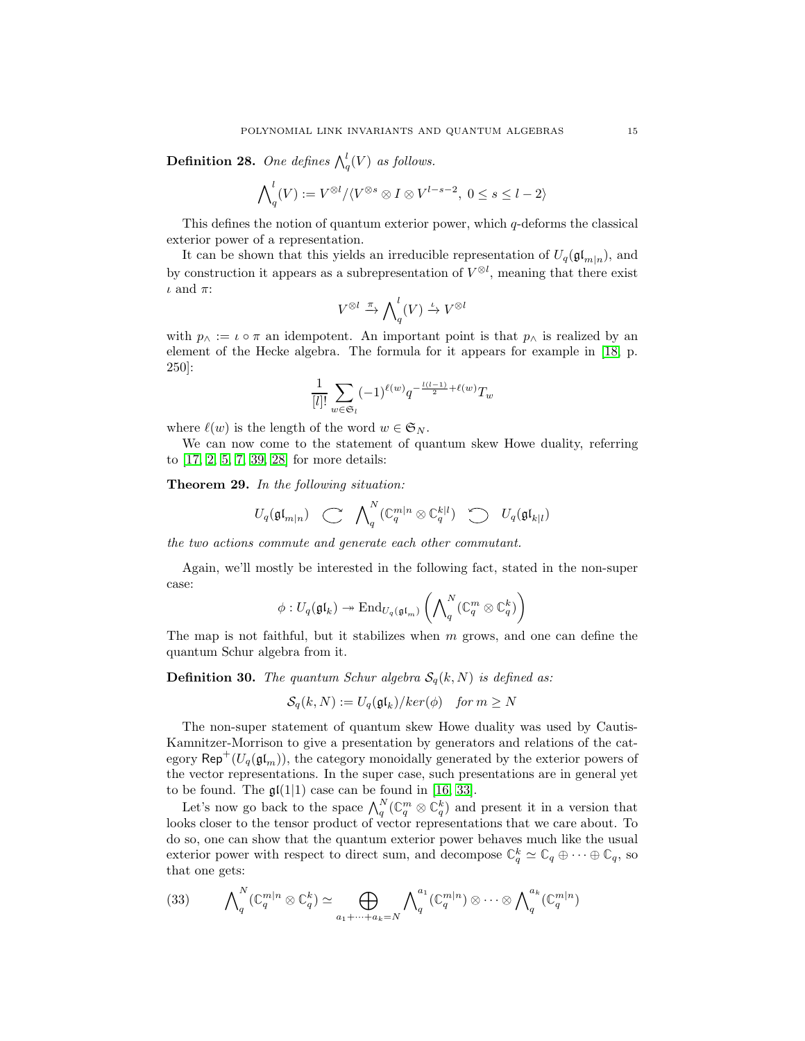**Definition 28.** One defines  $\bigwedge_q^l(V)$  as follows.

$$
\bigwedge\nolimits_q^l(V):=V^{\otimes l}/\langle V^{\otimes s}\otimes I\otimes V^{l-s-2},\ 0\leq s\leq l-2\rangle
$$

This defines the notion of quantum exterior power, which  $q$ -deforms the classical exterior power of a representation.

It can be shown that this yields an irreducible representation of  $U_q(\mathfrak{gl}_{m|n})$ , and by construction it appears as a subrepresentation of  $V^{\otimes l}$ , meaning that there exist  $\iota$  and  $\pi$ :

$$
V^{\otimes l} \xrightarrow{\pi} \bigwedge\nolimits_q^l(V) \xrightarrow{\iota} V^{\otimes l}
$$

with  $p_{\wedge} := \iota \circ \pi$  an idempotent. An important point is that  $p_{\wedge}$  is realized by an element of the Hecke algebra. The formula for it appears for example in [\[18,](#page-20-14) p. 250]:

$$
\frac{1}{[l]!}\sum_{w\in\mathfrak{S}_l}(-1)^{\ell(w)}q^{-\frac{l(l-1)}{2}+\ell(w)}T_w
$$

where  $\ell(w)$  is the length of the word  $w \in \mathfrak{S}_N$ .

We can now come to the statement of quantum skew Howe duality, referring to [\[17,](#page-20-15) [2,](#page-20-16) [5,](#page-20-17) [7,](#page-20-18) [39,](#page-21-12) [28\]](#page-21-11) for more details:

Theorem 29. *In the following situation:*

$$
U_q(\mathfrak{gl}_{m|n}) \quad \longrightarrow \quad \bigwedge\nolimits_q^N (\mathbb{C}_q^{m|n} \otimes \mathbb{C}_q^{k|l}) \quad \bigcirc \quad U_q(\mathfrak{gl}_{k|l})
$$

*the two actions commute and generate each other commutant.*

Again, we'll mostly be interested in the following fact, stated in the non-super case:

$$
\phi: U_q(\mathfrak{gl}_k) \to \mathrm{End}_{U_q(\mathfrak{gl}_m)}\left(\bigwedge\nolimits_q^N(\mathbb{C}_q^m \otimes \mathbb{C}_q^k)\right)
$$

The map is not faithful, but it stabilizes when  $m$  grows, and one can define the quantum Schur algebra from it.

**Definition 30.** *The quantum Schur algebra*  $S_q(k, N)$  *is defined as:* 

$$
S_q(k, N) := U_q(\mathfrak{gl}_k)/ker(\phi) \quad \text{for } m \ge N
$$

The non-super statement of quantum skew Howe duality was used by Cautis-Kamnitzer-Morrison to give a presentation by generators and relations of the category  $\mathsf{Rep}^+(U_q(\mathfrak{gl}_m))$ , the category monoidally generated by the exterior powers of the vector representations. In the super case, such presentations are in general yet to be found. The  $\mathfrak{gl}(1|1)$  case can be found in [\[16,](#page-20-19) [33\]](#page-21-13).

Let's now go back to the space  $\bigwedge_q^N(\mathbb{C}_q^m \otimes \mathbb{C}_q^k)$  and present it in a version that looks closer to the tensor product of vector representations that we care about. To do so, one can show that the quantum exterior power behaves much like the usual exterior power with respect to direct sum, and decompose  $\mathbb{C}_q^k \simeq \mathbb{C}_q \oplus \cdots \oplus \mathbb{C}_q$ , so that one gets:

<span id="page-14-0"></span>
$$
(33) \qquad \bigwedge\nolimits_q^N (\mathbb{C}_q^{m|n} \otimes \mathbb{C}_q^k) \simeq \bigoplus_{a_1 + \dots + a_k = N} \bigwedge\nolimits_q^{a_1} (\mathbb{C}_q^{m|n}) \otimes \dots \otimes \bigwedge\nolimits_q^{a_k} (\mathbb{C}_q^{m|n})
$$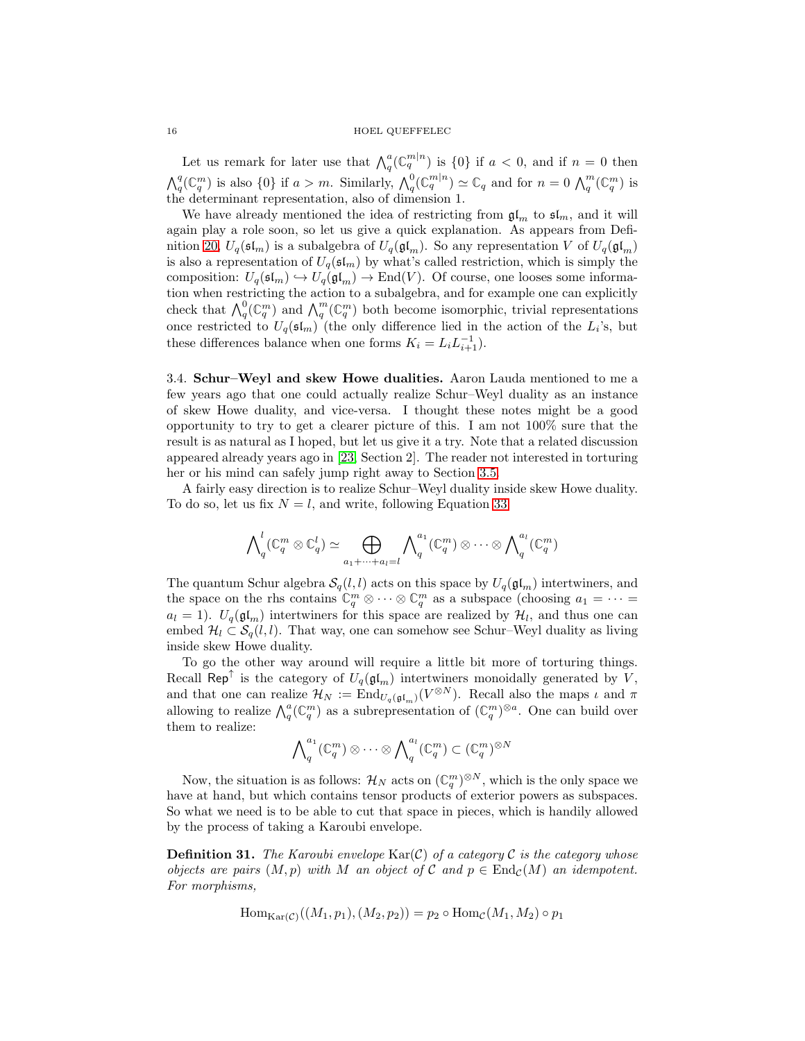Let us remark for later use that  $\bigwedge_q^n(\mathbb{C}_q^{m|n})$  is  $\{0\}$  if  $a < 0$ , and if  $n = 0$  then  $\bigwedge_q^q(\mathbb{C}_q^m)$  is also  $\{0\}$  if  $a > m$ . Similarly,  $\bigwedge_q^0(\mathbb{C}_q^{m|n}) \simeq \mathbb{C}_q$  and for  $n = 0$   $\bigwedge_q^m(\mathbb{C}_q^m)$  is the determinant representation, also of dimension 1.

We have already mentioned the idea of restricting from  $\mathfrak{gl}_m$  to  $\mathfrak{sl}_m$ , and it will again play a role soon, so let us give a quick explanation. As appears from Defi-nition [20,](#page-8-2)  $U_q(\mathfrak{sl}_m)$  is a subalgebra of  $U_q(\mathfrak{gl}_m)$ . So any representation V of  $U_q(\mathfrak{gl}_m)$ is also a representation of  $U_q(\mathfrak{sl}_m)$  by what's called restriction, which is simply the composition:  $U_q(\mathfrak{sl}_m) \hookrightarrow U_q(\mathfrak{gl}_m) \to \text{End}(V)$ . Of course, one looses some information when restricting the action to a subalgebra, and for example one can explicitly check that  $\bigwedge_q^0(\mathbb{C}_q^m)$  and  $\bigwedge_q^m(\mathbb{C}_q^m)$  both become isomorphic, trivial representations once restricted to  $U_q(\mathfrak{sl}_m)$  (the only difference lied in the action of the  $L_i$ 's, but these differences balance when one forms  $K_i = L_i L_{i+1}^{-1}$ .

3.4. Schur–Weyl and skew Howe dualities. Aaron Lauda mentioned to me a few years ago that one could actually realize Schur–Weyl duality as an instance of skew Howe duality, and vice-versa. I thought these notes might be a good opportunity to try to get a clearer picture of this. I am not 100% sure that the result is as natural as I hoped, but let us give it a try. Note that a related discussion appeared already years ago in [\[23,](#page-20-20) Section 2]. The reader not interested in torturing her or his mind can safely jump right away to Section [3.5.](#page-16-0)

A fairly easy direction is to realize Schur–Weyl duality inside skew Howe duality. To do so, let us fix  $N = l$ , and write, following Equation [33:](#page-14-0)

$$
{\bigwedge}^l_q({\mathbb{C}}_q^m \otimes {\mathbb{C}}_q^l) \simeq \bigoplus_{a_1 + \cdots + a_l = l} {\bigwedge}^{a_1}_q({\mathbb{C}}_q^m) \otimes \cdots \otimes {\bigwedge}^{a_l}_q({\mathbb{C}}_q^m)
$$

The quantum Schur algebra  $\mathcal{S}_q(l, l)$  acts on this space by  $U_q(\mathfrak{gl}_m)$  intertwiners, and the space on the rhs contains  $\mathbb{C}_q^m \otimes \cdots \otimes \mathbb{C}_q^m$  as a subspace (choosing  $a_1 = \cdots =$  $a_l = 1$ ).  $U_q(\mathfrak{gl}_m)$  intertwiners for this space are realized by  $\mathcal{H}_l$ , and thus one can embed  $\mathcal{H}_l \subset \mathcal{S}_q(l,l)$ . That way, one can somehow see Schur–Weyl duality as living inside skew Howe duality.

To go the other way around will require a little bit more of torturing things. Recall Rep<sup>†</sup> is the category of  $U_q(\mathfrak{gl}_m)$  intertwiners monoidally generated by V, and that one can realize  $\mathcal{H}_N := \text{End}_{U_q(\mathfrak{gl}_m)}(V^{\otimes N})$ . Recall also the maps  $\iota$  and  $\pi$ allowing to realize  $\bigwedge_q^a(\mathbb{C}_q^m)$  as a subrepresentation of  $(\mathbb{C}_q^m)^{\otimes a}$ . One can build over them to realize:

$$
\bigwedge\nolimits_q^{a_1}(\mathbb{C}_q^{m}) \otimes \cdots \otimes \bigwedge\nolimits_q^{a_l}(\mathbb{C}_q^{m}) \subset (\mathbb{C}_q^{m})^{\otimes N}
$$

Now, the situation is as follows:  $\mathcal{H}_N$  acts on  $(\mathbb{C}_q^m)^{\otimes N}$ , which is the only space we have at hand, but which contains tensor products of exterior powers as subspaces. So what we need is to be able to cut that space in pieces, which is handily allowed by the process of taking a Karoubi envelope.

**Definition 31.** The Karoubi envelope  $\text{Kar}(\mathcal{C})$  of a category C is the category whose *objects are pairs*  $(M, p)$  *with* M *an object of* C *and*  $p \in \text{End}_{\mathcal{C}}(M)$  *an idempotent. For morphisms,*

$$
\mathrm{Hom}_{\mathrm{Kar}(\mathcal{C})}((M_1, p_1), (M_2, p_2)) = p_2 \circ \mathrm{Hom}_{\mathcal{C}}(M_1, M_2) \circ p_1
$$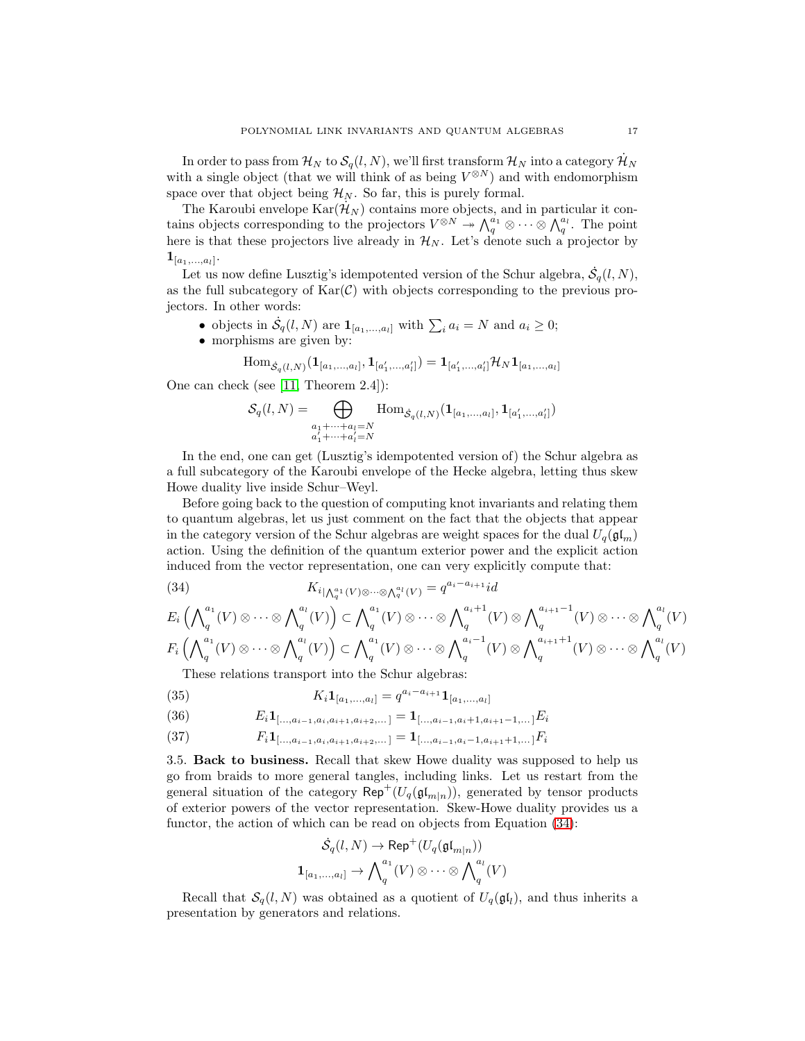In order to pass from  $\mathcal{H}_N$  to  $\mathcal{S}_q(l,N)$ , we'll first transform  $\mathcal{H}_N$  into a category  $\mathcal{H}_N$ with a single object (that we will think of as being  $V^{\otimes N}$ ) and with endomorphism space over that object being  $\mathcal{H}_N$ . So far, this is purely formal.

The Karoubi envelope  $\text{Kar}(\mathcal{H}_N)$  contains more objects, and in particular it contains objects corresponding to the projectors  $V^{\otimes N} \twoheadrightarrow \bigwedge_q^{a_1} \otimes \cdots \otimes \bigwedge_q^{a_l}$ . The point here is that these projectors live already in  $\mathcal{H}_N$ . Let's denote such a projector by  ${\bf 1}_{[a_1,...,a_l]}.$ 

Let us now define Lusztig's idempotented version of the Schur algebra,  $\dot{\mathcal{S}}_q(l,N)$ , as the full subcategory of  $\text{Kar}(\mathcal{C})$  with objects corresponding to the previous projectors. In other words:

- objects in  $\dot{S}_q(l,N)$  are  $\mathbf{1}_{[a_1,...,a_l]}$  with  $\sum_i a_i = N$  and  $a_i \geq 0$ ;
- morphisms are given by:

$$
\mathrm{Hom}_{\dot{\mathcal{S}}_q(l,N)}(\mathbf{1}_{[a_1,...,a_l]},\mathbf{1}_{[a'_1,...,a'_l]})=\mathbf{1}_{[a'_1,...,a'_l]}\mathcal{H}_N\mathbf{1}_{[a_1,...,a_l]}
$$

One can check (see [\[11,](#page-20-21) Theorem 2.4]):

$$
S_q(l,N) = \bigoplus_{\substack{a_1 + \dots + a_l = N \\ a'_1 + \dots + a'_l = N}} \text{Hom}_{\dot{S}_q(l,N)}(\mathbf{1}_{[a_1,\dots,a_l]}, \mathbf{1}_{[a'_1,\dots,a'_l]})
$$

In the end, one can get (Lusztig's idempotented version of) the Schur algebra as a full subcategory of the Karoubi envelope of the Hecke algebra, letting thus skew Howe duality live inside Schur–Weyl.

Before going back to the question of computing knot invariants and relating them to quantum algebras, let us just comment on the fact that the objects that appear in the category version of the Schur algebras are weight spaces for the dual  $U_q(\mathfrak{gl}_m)$ action. Using the definition of the quantum exterior power and the explicit action induced from the vector representation, one can very explicitly compute that:

<span id="page-16-1"></span>(34)  $K_{i} \big|_{\Lambda_q^{a_1}(V) \otimes \cdots \otimes \Lambda_q^{a_l}(V)} = q^{a_i - a_{i+1}} id$ 

$$
E_i\left(\bigwedge_q^{a_1}(V)\otimes\cdots\otimes\bigwedge_q^{a_l}(V)\right)\subset\bigwedge_q^{a_1}(V)\otimes\cdots\otimes\bigwedge_q^{a_i+1}(V)\otimes\bigwedge_q^{a_{i+1}-1}(V)\otimes\cdots\otimes\bigwedge_q^{a_l}(V)
$$
  

$$
F_i\left(\bigwedge_q^{a_1}(V)\otimes\cdots\otimes\bigwedge_q^{a_l}(V)\right)\subset\bigwedge_q^{a_1}(V)\otimes\cdots\otimes\bigwedge_q^{a_i-1}(V)\otimes\bigwedge_q^{a_{i+1}+1}(V)\otimes\cdots\otimes\bigwedge_q^{a_l}(V)
$$

These relations transport into the Schur algebras:

<span id="page-16-2"></span>(35) 
$$
K_i \mathbf{1}_{[a_1,...,a_l]} = q^{a_i - a_{i+1}} \mathbf{1}_{[a_1,...,a_l]}
$$

(36) 
$$
E_i \mathbf{1}_{[\ldots, a_{i-1}, a_i, a_{i+1}, a_{i+2}, \ldots]} = \mathbf{1}_{[\ldots, a_{i-1}, a_i+1, a_{i+1}-1, \ldots]} E_i
$$

(37) 
$$
F_i \mathbf{1}_{\left[ \ldots, a_{i-1}, a_i, a_{i+1}, a_{i+2}, \ldots \right]} = \mathbf{1}_{\left[ \ldots, a_{i-1}, a_i - 1, a_{i+1} + 1, \ldots \right]} F_i
$$

<span id="page-16-0"></span>3.5. Back to business. Recall that skew Howe duality was supposed to help us go from braids to more general tangles, including links. Let us restart from the general situation of the category  $\mathsf{Rep}^+(U_q(\mathfrak{gl}_{m|n}))$ , generated by tensor products of exterior powers of the vector representation. Skew-Howe duality provides us a functor, the action of which can be read on objects from Equation [\(34\)](#page-16-1):

$$
\dot{S}_q(l,N) \to \mathsf{Rep}^+(U_q(\mathfrak{gl}_{m|n}))
$$
  

$$
\mathbf{1}_{[a_1,...,a_l]} \to \bigwedge\nolimits_q^{a_1}(V) \otimes \cdots \otimes \bigwedge\nolimits_q^{a_l}(V)
$$

Recall that  $\mathcal{S}_q(l,N)$  was obtained as a quotient of  $U_q(\mathfrak{gl}_l)$ , and thus inherits a presentation by generators and relations.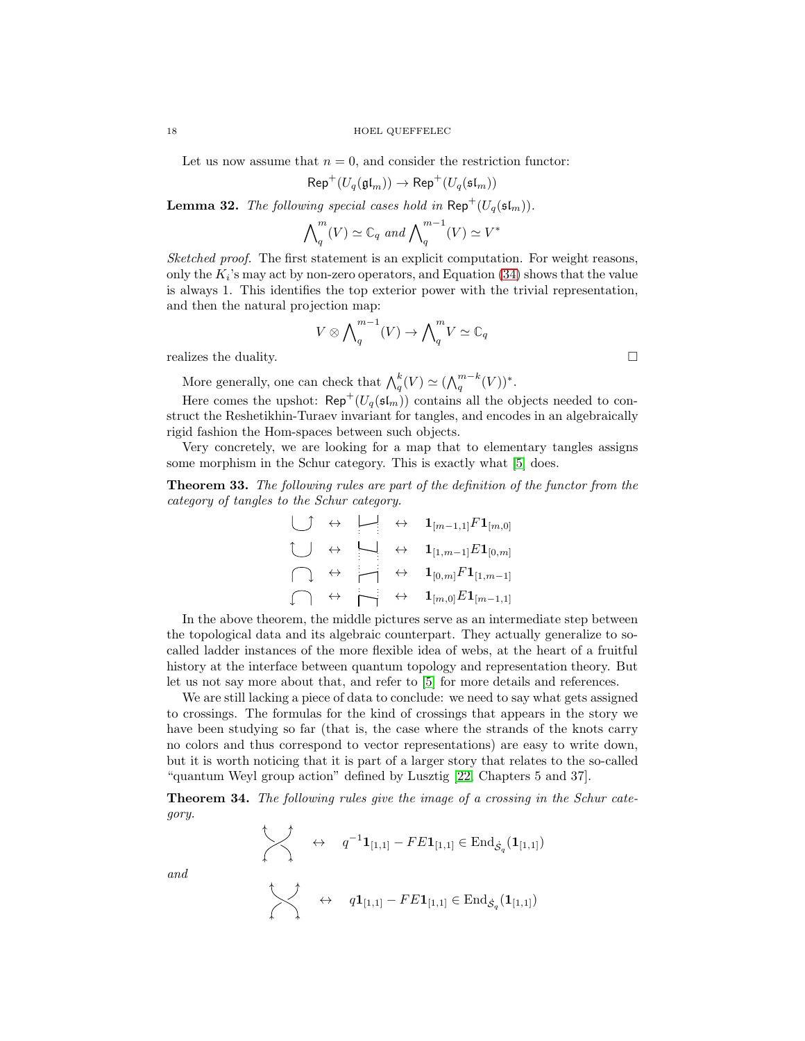Let us now assume that  $n = 0$ , and consider the restriction functor:

$$
\mathsf{Rep}^+(U_q(\mathfrak{gl}_m)) \to \mathsf{Rep}^+(U_q(\mathfrak{sl}_m))
$$

**Lemma 32.** *The following special cases hold in*  $\mathsf{Rep}^+(U_q(\mathfrak{sl}_m))$ *.* 

$$
\bigwedge\nolimits_q^m(V) \simeq \mathbb{C}_q \text{ and } \bigwedge\nolimits_q^{m-1}(V) \simeq V^*
$$

*Sketched proof.* The first statement is an explicit computation. For weight reasons, only the  $K_i$ 's may act by non-zero operators, and Equation [\(34\)](#page-16-1) shows that the value is always 1. This identifies the top exterior power with the trivial representation, and then the natural projection map:

$$
V \otimes \bigwedge^{m-1}_{q}(V) \to \bigwedge^{m}_{q}V \simeq \mathbb{C}_{q}
$$

realizes the duality.

More generally, one can check that  $\bigwedge_q^k(V) \simeq (\bigwedge_q^{m-k}(V))^*$ .

Here comes the upshot:  $\mathsf{Rep}^+(U_q(\mathfrak{sl}_m))$  contains all the objects needed to construct the Reshetikhin-Turaev invariant for tangles, and encodes in an algebraically rigid fashion the Hom-spaces between such objects.

Very concretely, we are looking for a map that to elementary tangles assigns some morphism in the Schur category. This is exactly what [\[5\]](#page-20-17) does.

Theorem 33. *The following rules are part of the definition of the functor from the category of tangles to the Schur category.*

$$
\begin{array}{c}\begin{matrix}\begin{array}{r}\begin{array}{r}\end{array}\end{array} & \leftrightarrow \end{array} & \begin{array}{r}\mathbf{1}_{[m-1,1]}F\mathbf{1}_{[m,0]} \end{array} \\ \begin{matrix}\begin{array}{r}\end{array}\end{matrix} & \leftrightarrow \end{array} & \begin{array}{r}\mathbf{1}_{[1,m-1]}E\mathbf{1}_{[0,m]} \end{array} \\ \begin{array}{r}\begin{matrix}\end{array}\end{array} & \leftrightarrow \end{array} & \begin{array}{r}\mathbf{1}_{[0,m]}F\mathbf{1}_{[1,m-1]} \end{array} \\ \begin{array}{r}\end{array}\end{array} \begin{array}{c}\begin{array}{r}\end{array}\end{array} & \begin{array}{r}\end{array}\end{array} & \begin{array}{r}\end{array}\end{array} \begin{array}{r}\begin{array}{r}\end{array}\end{array} & \begin{array}{r}\end{array}\end{array} & \begin{array}{r}\mathbf{1}_{[0,m]}F\mathbf{1}_{[1,m-1]} \end{array}
$$

In the above theorem, the middle pictures serve as an intermediate step between the topological data and its algebraic counterpart. They actually generalize to socalled ladder instances of the more flexible idea of webs, at the heart of a fruitful history at the interface between quantum topology and representation theory. But let us not say more about that, and refer to [\[5\]](#page-20-17) for more details and references.

We are still lacking a piece of data to conclude: we need to say what gets assigned to crossings. The formulas for the kind of crossings that appears in the story we have been studying so far (that is, the case where the strands of the knots carry no colors and thus correspond to vector representations) are easy to write down, but it is worth noticing that it is part of a larger story that relates to the so-called "quantum Weyl group action" defined by Lusztig [\[22,](#page-20-8) Chapters 5 and 37].

Theorem 34. *The following rules give the image of a crossing in the Schur category.*

$$
\begin{array}{ccccc}\n\longleftrightarrow & q^{-1}\mathbf{1}_{[1,1]} - FE\mathbf{1}_{[1,1]} \in \operatorname{End}_{\dot{\mathcal{S}}_q}(\mathbf{1}_{[1,1]}) \\
\downarrow & & q\mathbf{1}_{[1,1]} - FE\mathbf{1}_{[1,1]} \in \operatorname{End}_{\dot{\mathcal{S}}_q}(\mathbf{1}_{[1,1]})\n\end{array}
$$

*and*

$$
\Box
$$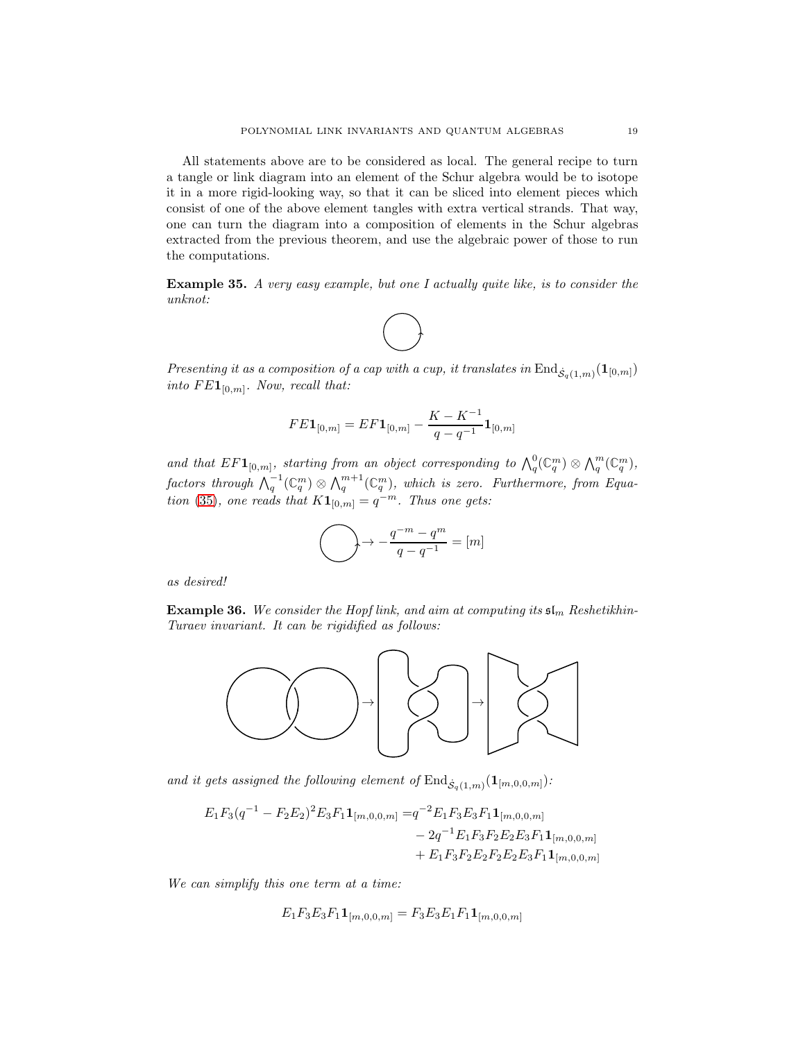All statements above are to be considered as local. The general recipe to turn a tangle or link diagram into an element of the Schur algebra would be to isotope it in a more rigid-looking way, so that it can be sliced into element pieces which consist of one of the above element tangles with extra vertical strands. That way, one can turn the diagram into a composition of elements in the Schur algebras extracted from the previous theorem, and use the algebraic power of those to run the computations.

<span id="page-18-0"></span>Example 35. *A very easy example, but one I actually quite like, is to consider the unknot:*



*Presenting it as a composition of a cap with a cup, it translates in*  $\text{End}_{\dot{\mathcal{S}}_q(1,m)}(\mathbf{1}_{[0,m]})$ into  $FE1_{[0,m]}$ *. Now, recall that:* 

$$
FE\mathbf{1}_{[0,m]} = EF\mathbf{1}_{[0,m]} - \frac{K - K^{-1}}{q - q^{-1}}\mathbf{1}_{[0,m]}
$$

and that  $EFL_{[0,m]}$ , starting from an object corresponding to  $\bigwedge_q^0(\mathbb{C}_q^m) \otimes \bigwedge_q^m(\mathbb{C}_q^m)$ ,  $\mathit{factors \ through} \ \bigwedge_q^{-1}(\mathbb{C}_q^m) \otimes \bigwedge_q^{m+1}(\mathbb{C}_q^m)$ , which is zero. Furthermore, from Equa*tion* [\(35\)](#page-16-2)*, one reads that*  $K1_{[0,m]} = q^{-m}$ *. Thus one gets:* 

$$
\bigodot \rightarrow -\frac{q^{-m}-q^m}{q-q^{-1}}=[m]
$$

*as desired!*

Example 36. We consider the Hopf link, and aim at computing its  $\mathfrak{sl}_m$  Reshetikhin-*Turaev invariant. It can be rigidified as follows:*



and it gets assigned the following element of  $\text{End}_{\mathcal{S}_q(1,m)}(\mathbf{1}_{[m,0,0,m]})$ :

$$
E_1F_3(q^{-1} - F_2E_2)^2E_3F_1\mathbf{1}_{[m,0,0,m]} = q^{-2}E_1F_3E_3F_1\mathbf{1}_{[m,0,0,m]} -2q^{-1}E_1F_3F_2E_2E_3F_1\mathbf{1}_{[m,0,0,m]} + E_1F_3F_2E_2F_2E_2F_3F_1\mathbf{1}_{[m,0,0,m]}
$$

*We can simplify this one term at a time:*

$$
E_1F_3E_3F_1\mathbf{1}_{[m,0,0,m]} = F_3E_3E_1F_1\mathbf{1}_{[m,0,0,m]}
$$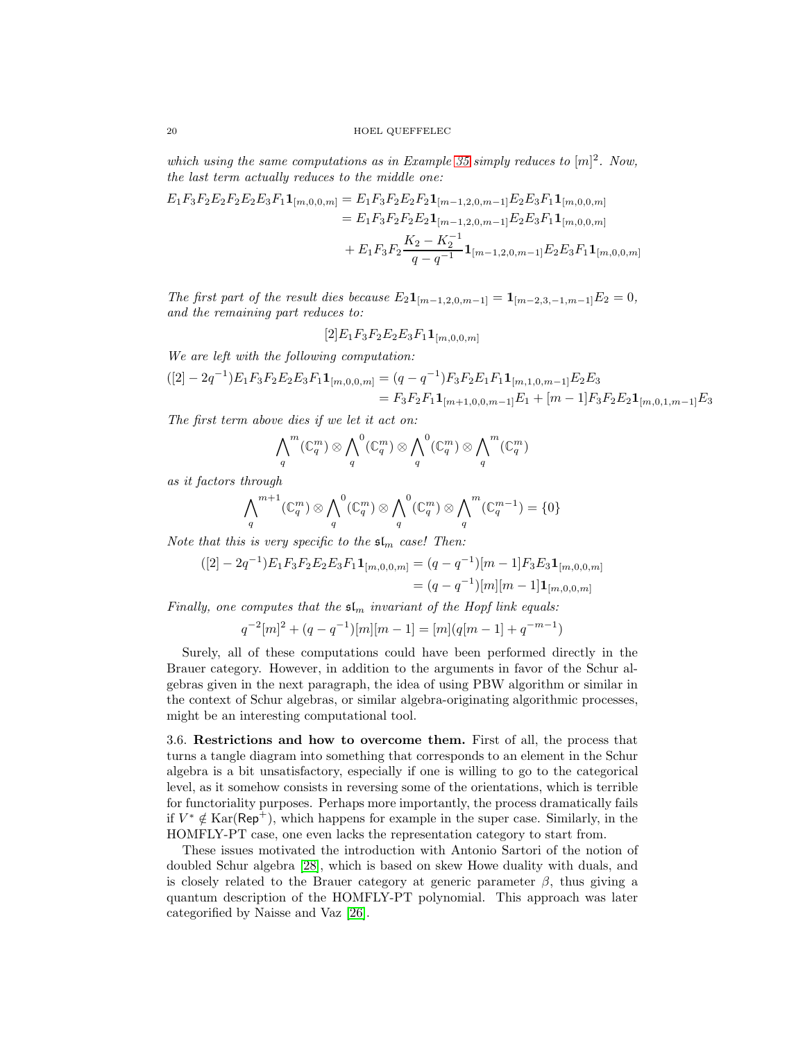*which using the same computations as in Example [35](#page-18-0) simply reduces to* [m] 2 *. Now, the last term actually reduces to the middle one:*

$$
E_1F_3F_2E_2F_2E_2E_3F_1\mathbf{1}_{[m,0,0,m]} = E_1F_3F_2E_2F_2\mathbf{1}_{[m-1,2,0,m-1]}E_2E_3F_1\mathbf{1}_{[m,0,0,m]}
$$
  
=  $E_1F_3F_2F_2E_2\mathbf{1}_{[m-1,2,0,m-1]}E_2E_3F_1\mathbf{1}_{[m,0,0,m]}$   
+  $E_1F_3F_2\frac{K_2 - K_2^{-1}}{q - q^{-1}}\mathbf{1}_{[m-1,2,0,m-1]}E_2E_3F_1\mathbf{1}_{[m,0,0,m]}$ 

*The first part of the result dies because*  $E_2 \mathbf{1}_{[m-1,2,0,m-1]} = \mathbf{1}_{[m-2,3,-1,m-1]} E_2 = 0$ , *and the remaining part reduces to:*

 $[2]E_1F_3F_2E_2E_3F_1\mathbf{1}_{[m,0,0,m]}$ 

*We are left with the following computation:*

$$
([2] - 2q^{-1})E_1F_3F_2E_2E_3F_1\mathbf{1}_{[m,0,0,m]} = (q - q^{-1})F_3F_2E_1F_1\mathbf{1}_{[m,1,0,m-1]}E_2E_3
$$
  
=  $F_3F_2F_1\mathbf{1}_{[m+1,0,0,m-1]}E_1 + [m-1]F_3F_2E_2\mathbf{1}_{[m,0,1,m-1]}E_3$ 

*The first term above dies if we let it act on:*

$$
\bigwedge_q^m(\mathbb{C}_q^m) \otimes \bigwedge_q^0(\mathbb{C}_q^m) \otimes \bigwedge_q^0(\mathbb{C}_q^m) \otimes \bigwedge_q^m(\mathbb{C}_q^m)
$$

*as it factors through*

$$
\bigwedge_q^{m+1}(\mathbb{C}_q^m) \otimes \bigwedge_q^{0}(\mathbb{C}_q^m) \otimes \bigwedge_q^{0}(\mathbb{C}_q^m) \otimes \bigwedge_q^{m}(\mathbb{C}_q^{m-1}) = \{0\}
$$

*Note that this is very specific to the*  $\mathfrak{sl}_m$  *case! Then:* 

$$
\begin{aligned} ([2] - 2q^{-1})E_1F_3F_2E_2E_3F_1\mathbf{1}_{[m,0,0,m]} &= (q - q^{-1})[m - 1]F_3E_3\mathbf{1}_{[m,0,0,m]} \\ &= (q - q^{-1})[m][m - 1]\mathbf{1}_{[m,0,0,m]} \end{aligned}
$$

*Finally, one computes that the*  $\mathfrak{sl}_m$  *invariant of the Hopf link equals:* 

$$
q^{-2}[m]^2 + (q - q^{-1})[m][m - 1] = [m](q[m - 1] + q^{-m-1})
$$

Surely, all of these computations could have been performed directly in the Brauer category. However, in addition to the arguments in favor of the Schur algebras given in the next paragraph, the idea of using PBW algorithm or similar in the context of Schur algebras, or similar algebra-originating algorithmic processes, might be an interesting computational tool.

3.6. Restrictions and how to overcome them. First of all, the process that turns a tangle diagram into something that corresponds to an element in the Schur algebra is a bit unsatisfactory, especially if one is willing to go to the categorical level, as it somehow consists in reversing some of the orientations, which is terrible for functoriality purposes. Perhaps more importantly, the process dramatically fails if  $V^* \notin \text{Kar}(\textsf{Rep}^+)$ , which happens for example in the super case. Similarly, in the HOMFLY-PT case, one even lacks the representation category to start from.

These issues motivated the introduction with Antonio Sartori of the notion of doubled Schur algebra [\[28\]](#page-21-11), which is based on skew Howe duality with duals, and is closely related to the Brauer category at generic parameter  $\beta$ , thus giving a quantum description of the HOMFLY-PT polynomial. This approach was later categorified by Naisse and Vaz [\[26\]](#page-21-14).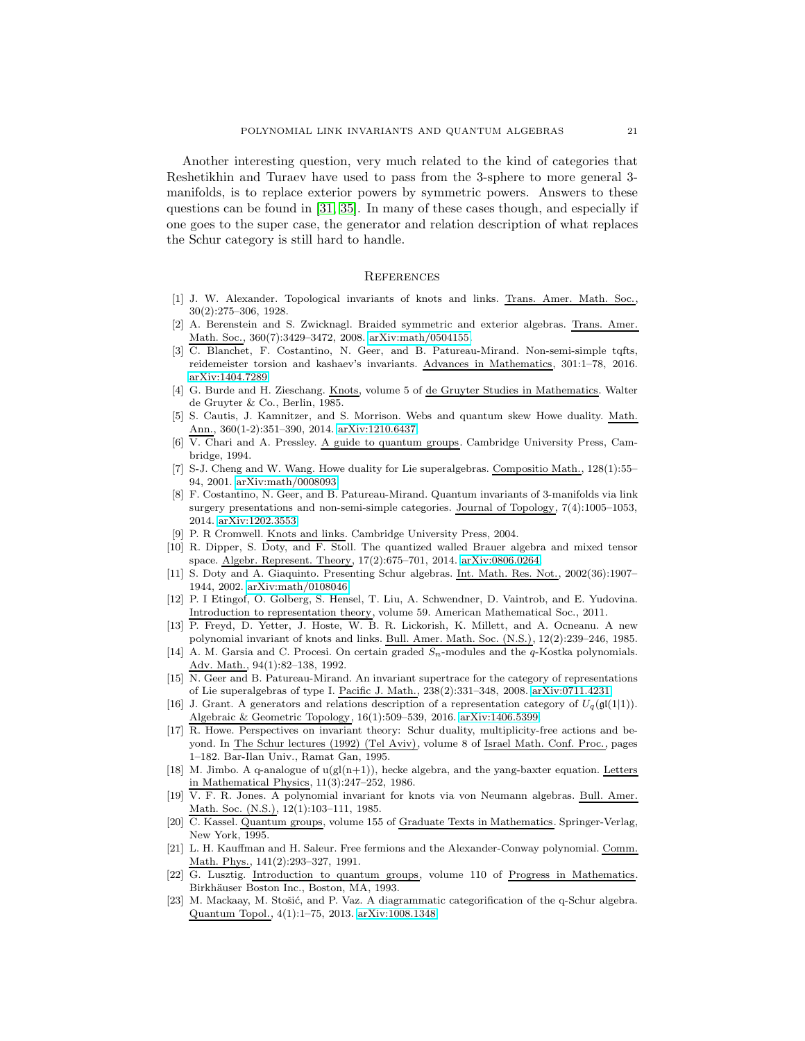Another interesting question, very much related to the kind of categories that Reshetikhin and Turaev have used to pass from the 3-sphere to more general 3 manifolds, is to replace exterior powers by symmetric powers. Answers to these questions can be found in [\[31,](#page-21-15) [35\]](#page-21-16). In many of these cases though, and especially if one goes to the super case, the generator and relation description of what replaces the Schur category is still hard to handle.

## **REFERENCES**

- <span id="page-20-0"></span>[1] J. W. Alexander. Topological invariants of knots and links. Trans. Amer. Math. Soc., 30(2):275–306, 1928.
- <span id="page-20-16"></span>[2] A. Berenstein and S. Zwicknagl. Braided symmetric and exterior algebras. Trans. Amer. Math. Soc., 360(7):3429–3472, 2008. [arXiv:math/0504155.](https://arxiv.org/abs/math/0504155)
- <span id="page-20-12"></span>[3] C. Blanchet, F. Costantino, N. Geer, and B. Patureau-Mirand. Non-semi-simple tqfts, reidemeister torsion and kashaev's invariants. Advances in Mathematics, 301:1–78, 2016. [arXiv:1404.7289.](https://arxiv.org/abs/1404.7289)
- <span id="page-20-4"></span>[4] G. Burde and H. Zieschang. Knots, volume 5 of de Gruyter Studies in Mathematics. Walter de Gruyter & Co., Berlin, 1985.
- <span id="page-20-17"></span>[5] S. Cautis, J. Kamnitzer, and S. Morrison. Webs and quantum skew Howe duality. Math. Ann., 360(1-2):351–390, 2014. [arXiv:1210.6437.](https://arxiv.org/abs/1210.6437)
- <span id="page-20-9"></span>[6] V. Chari and A. Pressley. A guide to quantum groups. Cambridge University Press, Cambridge, 1994.
- <span id="page-20-18"></span>[7] S-J. Cheng and W. Wang. Howe duality for Lie superalgebras. Compositio Math., 128(1):55– 94, 2001. [arXiv:math/0008093.](https://arxiv.org/abs/math/0008093)
- <span id="page-20-11"></span>[8] F. Costantino, N. Geer, and B. Patureau-Mirand. Quantum invariants of 3-manifolds via link surgery presentations and non-semi-simple categories. Journal of Topology, 7(4):1005–1053, 2014. [arXiv:1202.3553.](https://arxiv.org/abs/1202.3553)
- <span id="page-20-7"></span><span id="page-20-5"></span>[9] P. R Cromwell. Knots and links. Cambridge University Press, 2004.
- [10] R. Dipper, S. Doty, and F. Stoll. The quantized walled Brauer algebra and mixed tensor space. Algebr. Represent. Theory, 17(2):675–701, 2014. [arXiv:0806.0264.](https://arxiv.org/abs/0806.0264)
- <span id="page-20-21"></span>[11] S. Doty and A. Giaquinto. Presenting Schur algebras. Int. Math. Res. Not., 2002(36):1907– 1944, 2002. [arXiv:math/0108046.](https://arxiv.org/abs/math/0108046)
- <span id="page-20-13"></span>[12] P. I Etingof, O. Golberg, S. Hensel, T. Liu, A. Schwendner, D. Vaintrob, and E. Yudovina. Introduction to representation theory, volume 59. American Mathematical Soc., 2011.
- <span id="page-20-2"></span>[13] P. Freyd, D. Yetter, J. Hoste, W. B. R. Lickorish, K. Millett, and A. Ocneanu. A new polynomial invariant of knots and links. Bull. Amer. Math. Soc. (N.S.), 12(2):239–246, 1985.
- [14] A. M. Garsia and C. Procesi. On certain graded  $S_n$ -modules and the  $q$ -Kostka polynomials. Adv. Math., 94(1):82–138, 1992.
- <span id="page-20-10"></span>[15] N. Geer and B. Patureau-Mirand. An invariant supertrace for the category of representations of Lie superalgebras of type I. Pacific J. Math., 238(2):331–348, 2008. [arXiv:0711.4231.](https://arxiv.org/abs/0711.4231)
- <span id="page-20-19"></span>[16] J. Grant. A generators and relations description of a representation category of  $U_q(\mathfrak{gl}(1|1))$ . Algebraic & Geometric Topology, 16(1):509–539, 2016. [arXiv:1406.5399.](https://arxiv.org/abs/1406.5399)
- <span id="page-20-15"></span>[17] R. Howe. Perspectives on invariant theory: Schur duality, multiplicity-free actions and beyond. In The Schur lectures (1992) (Tel Aviv), volume 8 of Israel Math. Conf. Proc., pages 1–182. Bar-Ilan Univ., Ramat Gan, 1995.
- <span id="page-20-14"></span>[18] M. Jimbo. A q-analogue of  $u(gl(n+1))$ , hecke algebra, and the yang-baxter equation. Letters in Mathematical Physics, 11(3):247–252, 1986.
- <span id="page-20-1"></span>[19] V. F. R. Jones. A polynomial invariant for knots via von Neumann algebras. Bull. Amer. Math. Soc. (N.S.), 12(1):103–111, 1985.
- <span id="page-20-6"></span>[20] C. Kassel. Quantum groups, volume 155 of Graduate Texts in Mathematics. Springer-Verlag, New York, 1995.
- <span id="page-20-3"></span>[21] L. H. Kauffman and H. Saleur. Free fermions and the Alexander-Conway polynomial. Comm. Math. Phys., 141(2):293-327, 1991.
- <span id="page-20-8"></span>[22] G. Lusztig. Introduction to quantum groups, volume 110 of Progress in Mathematics. Birkhäuser Boston Inc., Boston, MA, 1993.
- <span id="page-20-20"></span>[23] M. Mackaay, M. Stošić, and P. Vaz. A diagrammatic categorification of the q-Schur algebra. Quantum Topol., 4(1):1–75, 2013. [arXiv:1008.1348.](http://arxiv.org/abs/1008.1348)